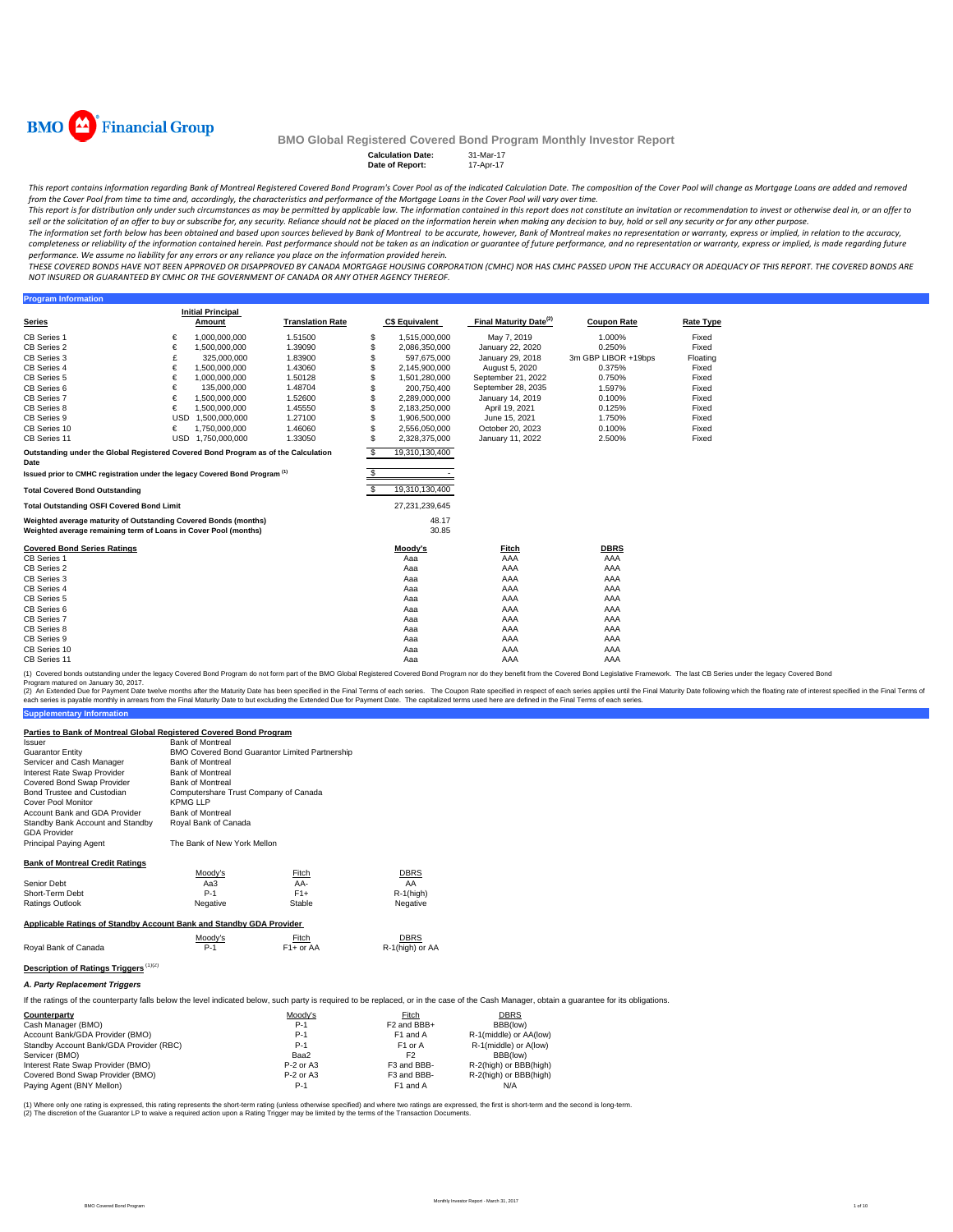

**Program Information** 

#### **BMO Global Registered Covered Bond Program Monthly Investor Report**

**Calculation Date: Date of Report:** 17-Apr-17

This report contains information regarding Bank of Montreal Registered Covered Bond Program's Cover Pool as of the indicated Calculation Date. The composition of the Cover Pool will change as Mortgage Loans are added and r from the Cover Pool from time to time and, accordingly, the characteristics and performance of the Mortgage Loans in the Cover Pool will vary over time.

This report is for distribution only under such circumstances as may be permitted by applicable law. The information contained in this report does not constitute an invitation or recommendation to invest or otherwise deal sell or the solicitation of an offer to buy or subscribe for, any security. Reliance should not be placed on the information herein when making any decision to buy, hold or sell any security or for any other purpose.

The information set forth below has been obtained and based upon sources believed by Bank of Montreal to be accurate, however, Bank of Montreal makes no representation or warranty, express or implied, in relation to the ac completeness or reliability of the information contained herein. Past performance should not be taken as an indication or guarantee of future performance, and no representation or warranty, express or implied, is made rega performance. We assume no liability for any errors or any reliance you place on the information provided herein.

.<br>THESE COVERED BONDS HAVE NOT BEEN APPROVED OR DISAPPROVED BY CANADA MORTGAGE HOUSING CORPORATION (CMHC) NOR HAS CMHC PASSED UPON THE ACCURACY OR ADEQUACY OF THIS REPORT. THE COVERED BONDS ARE *NOT INSURED OR GUARANTEED BY CMHC OR THE GOVERNMENT OF CANADA OR ANY OTHER AGENCY THEREOF.*

**Series Initial Principal C\$ Equivalent Final Maturity Date<sup>(2)</sup> Coupon Rate <b>Rate Type** CB Series 1 € 1,000,000,000 1.51500 \$ 1,515,000,000 May 7, 2019 1.000% Fixed CB Series 2 € 1,500,000,000 1.39090 \$ 2,086,350,000 January 22, 2020 0.250% Fixed CB Series 3 £ 325,000,000 1.83900 \$ 597,675,000 January 29, 2018 3m GBP LIBOR +19bps Floating CB Series 4 € 1,500,000,000 1.43060 \$ 2,145,900,000 August 5, 2020 0.375% Fixed CB Series 4 € 1,500,000,000 1.43060 \$ 2,145,900,000 August 5, 2020 0.375% Fixed<br>CB Series 5 € 1,000,000,000 1.50128 \$ 1,501,280,000 September 21, 2022 0.750% Fixed CB Series 6 € 135,000,000 1.48704 \$ 200,750,400 September 28, 2035 1.597% Fixed CB Series 7 € 1,500,000,000 1.52600 \$ 2,289,000,000 January 14, 2019 0.100% Fixed CB Series 8 € 1,500,000,000 1.45550 \$ 2,183,250,000 April 19, 2021 0.125% Fixed CB Series 9 USD 1,500,000,000 1.27100 \$ 1,906,500,000 June 15, 2021 1.750% Fixed CB Series 10 € 1,750,000,000 1.46060 \$ 2,556,050,000 October 20, 2023 0.100% Fixed CB Series 11 USD 1,750,000,000 1.33050 \$ 2,328,375,000 January 11, 2022 2.500% Fixed \$ 19,310,130,400 \$ - **Total Covered Bond Outstanding** \$ 19,310,130,400 **Total Outstanding OSFI Covered Bond Limit** 27,231,239,645 48.17 30.85 **Covered Bond Series Ratings Moody's Fitch DBRS** CB Series 1 Aaa AAA AAA CB Series 2 Aaa AAA AAA CB Series 3 Aaa AAA AAA CB Series 4 Aaa AAA AAA CB Series 5 Aaa AAA AAA CB Series 6 Aaa AAA AAA CB Series 7 Aaa AAA AAA CB Series 8 Aaa AAA AAA CB Series 9 Aaa AAA AAA CB Series 10 Aaa AAA AAA CB Series 11 Aaa AAA AAA **Weighted average maturity of Outstanding Covered Bonds (months) Weighted average remaining term of Loans in Cover Pool (months) Translation Rate Outstanding under the Global Registered Covered Bond Program as of the Calculation Date Issued prior to CMHC registration under the legacy Covered Bond Program (1)**

(1) Covered bonds outstanding under the legacy Covered Bond Program do not form part of the BMO Global Registered Covered Bond Program nor do they benefit from the Covered Bond Legislative Framework. The last CB Series und

(2) An Extended Due for Payment Date twelve months after the Maturity Date has been specified in the Final Erms of each series. The Capon Rate specified in the Final Maturity Date in the Final Maturity Date in the Sinal Te

| Issuer                                                              | <b>Bank of Montreal</b>                        |              |                 |  |  |  |
|---------------------------------------------------------------------|------------------------------------------------|--------------|-----------------|--|--|--|
| <b>Guarantor Entity</b>                                             | BMO Covered Bond Guarantor Limited Partnership |              |                 |  |  |  |
| Servicer and Cash Manager                                           | <b>Bank of Montreal</b>                        |              |                 |  |  |  |
| Interest Rate Swap Provider                                         | <b>Bank of Montreal</b>                        |              |                 |  |  |  |
| Covered Bond Swap Provider                                          | <b>Bank of Montreal</b>                        |              |                 |  |  |  |
| Bond Trustee and Custodian                                          | Computershare Trust Company of Canada          |              |                 |  |  |  |
| Cover Pool Monitor                                                  | KPMG LLP                                       |              |                 |  |  |  |
| Account Bank and GDA Provider                                       | <b>Bank of Montreal</b>                        |              |                 |  |  |  |
| Standby Bank Account and Standby<br><b>GDA Provider</b>             | Royal Bank of Canada                           |              |                 |  |  |  |
| <b>Principal Paying Agent</b>                                       | The Bank of New York Mellon                    |              |                 |  |  |  |
| <b>Bank of Montreal Credit Ratings</b>                              |                                                |              |                 |  |  |  |
|                                                                     | Moody's                                        | <b>Fitch</b> | <b>DBRS</b>     |  |  |  |
| Senior Debt                                                         | АаЗ                                            | AA-          | AA              |  |  |  |
| Short-Term Debt                                                     | $P-1$                                          | $F1+$        | $R-1$ (high)    |  |  |  |
| Ratings Outlook                                                     | Negative                                       | Stable       | Negative        |  |  |  |
| Applicable Ratings of Standby Account Bank and Standby GDA Provider |                                                |              |                 |  |  |  |
|                                                                     | Moody's                                        | Fitch        | DBRS            |  |  |  |
| Royal Bank of Canada                                                | $P-1$                                          | $F1+$ or AA  | R-1(high) or AA |  |  |  |
| <b>Description of Ratings Triggers</b>                              |                                                |              |                 |  |  |  |

#### *A. Party Replacement Triggers*

**Supplementary Information**

**Parties to Bank of Montreal Global Registered Covered Bond Program**

If the ratings of the counterparty falls below the level indicated below, such party is required to be replaced, or in the case of the Cash Manager, obtain a guarantee for its obligations.

| Counterparty                            | Moodv's     | Fitch                   | DBRS                   |
|-----------------------------------------|-------------|-------------------------|------------------------|
| Cash Manager (BMO)                      | $P-1$       | F <sub>2</sub> and BBB+ | BBB(low)               |
| Account Bank/GDA Provider (BMO)         | $P-1$       | F <sub>1</sub> and A    | R-1(middle) or AA(low) |
| Standby Account Bank/GDA Provider (RBC) | $P-1$       | F <sub>1</sub> or A     | R-1(middle) or A(low)  |
| Servicer (BMO)                          | Baa2        | F2                      | BBB(low)               |
| Interest Rate Swap Provider (BMO)       | $P-2$ or A3 | F3 and BBB-             | R-2(high) or BBB(high) |
| Covered Bond Swap Provider (BMO)        | $P-2$ or A3 | F3 and BBB-             | R-2(high) or BBB(high) |
| Paying Agent (BNY Mellon)               | $P-1$       | F1 and A                | N/A                    |

(1) Where only one rating is expressed, this rating represents the short-term rating (unless othevnise specified) and where two ratings are expressed, the first is short-term and the second is long-term.<br>(2) The discretion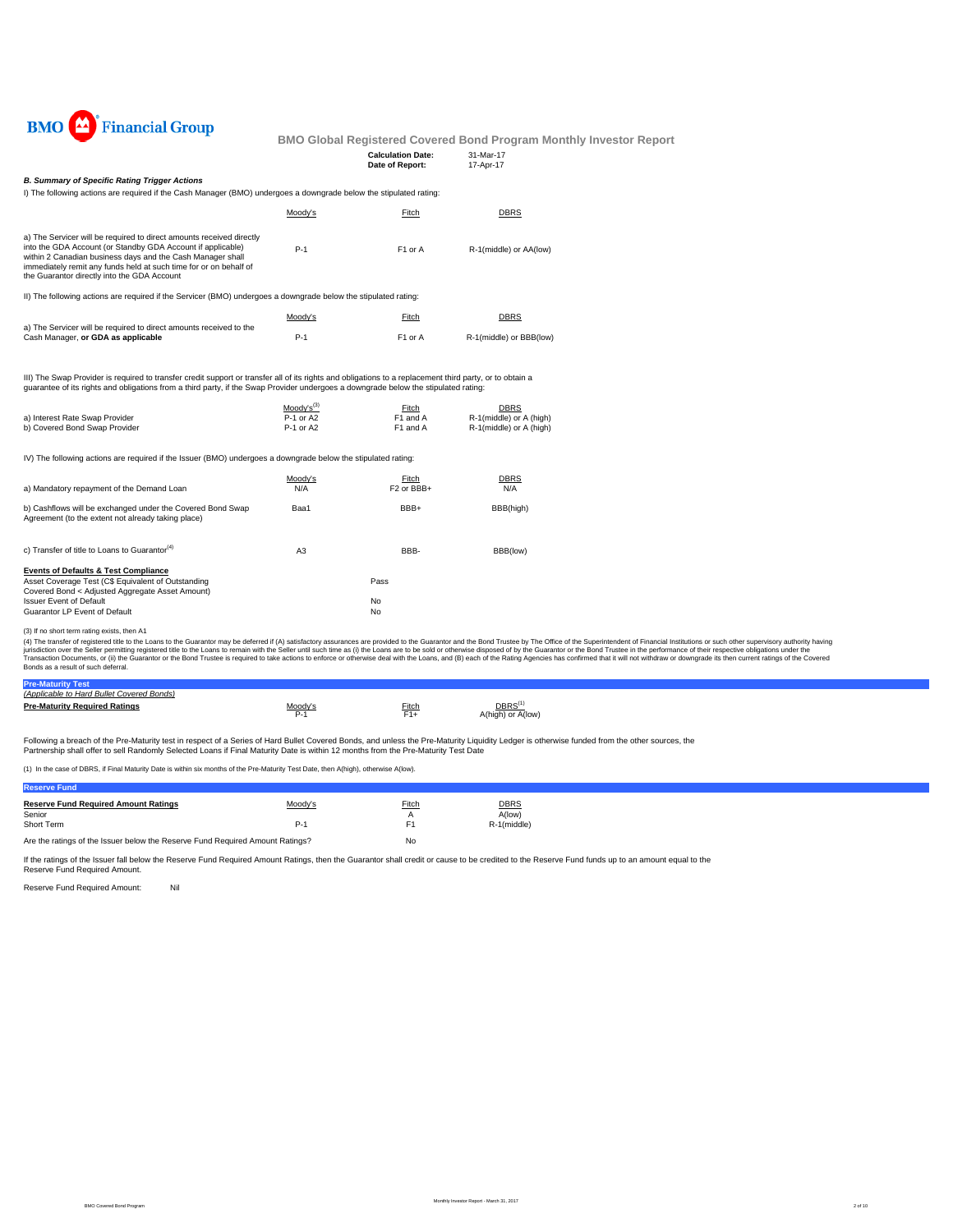

| <b>Calculation Date:</b> | 31-Mar-17 |
|--------------------------|-----------|
| Date of Report:          | 17-Apr-17 |
|                          |           |

#### *B. Summary of Specific Rating Trigger Actions*

I) The following actions are required if the Cash Manager (BMO) undergoes a downgrade below the stipulated rating:

|                                                                                                                                                                                                                                                                                                                       | Moody's | Fitch               | DBRS                    |
|-----------------------------------------------------------------------------------------------------------------------------------------------------------------------------------------------------------------------------------------------------------------------------------------------------------------------|---------|---------------------|-------------------------|
| a) The Servicer will be required to direct amounts received directly<br>into the GDA Account (or Standby GDA Account if applicable)<br>within 2 Canadian business days and the Cash Manager shall<br>immediately remit any funds held at such time for or on behalf of<br>the Guarantor directly into the GDA Account | $P-1$   | F <sub>1</sub> or A | R-1(middle) or AA(low)  |
| II) The following actions are required if the Servicer (BMO) undergoes a downgrade below the stipulated rating:                                                                                                                                                                                                       |         |                     |                         |
|                                                                                                                                                                                                                                                                                                                       | Moody's | Fitch               | DBRS                    |
| a) The Servicer will be required to direct amounts received to the<br>Cash Manager, or GDA as applicable                                                                                                                                                                                                              | $P-1$   | F <sub>1</sub> or A | R-1(middle) or BBB(low) |

III) The Swap Provider is required to transfer credit support or transfer all of its rights and obligations to a replacement third party, or to obtain a guarantee of its rights and obligations from a third party, if the Swap Provider undergoes a downgrade below the stipulated rating:

|                                | $Modv's^{(3)}$ | Fitch    | <b>DBRS</b>             |
|--------------------------------|----------------|----------|-------------------------|
| a) Interest Rate Swap Provider | P-1 or A2      | F1 and A | R-1(middle) or A (high) |
| b) Covered Bond Swap Provider  | P-1 or A2      | F1 and A | R-1(middle) or A (high) |

IV) The following actions are required if the Issuer (BMO) undergoes a downgrade below the stipulated rating:

| a) Mandatory repayment of the Demand Loan                                                                                                                | Moody's<br>N/A | Fitch<br>F <sub>2</sub> or BB <sub>B+</sub> | <b>DBRS</b><br>N/A |
|----------------------------------------------------------------------------------------------------------------------------------------------------------|----------------|---------------------------------------------|--------------------|
| b) Cashflows will be exchanged under the Covered Bond Swap<br>Agreement (to the extent not already taking place)                                         | Baa1           | BBB+                                        | BBB(high)          |
| c) Transfer of title to Loans to Guarantor <sup>(4)</sup>                                                                                                | A <sub>3</sub> | BBB-                                        | BBB(low)           |
| <b>Events of Defaults &amp; Test Compliance</b><br>Asset Coverage Test (C\$ Equivalent of Outstanding<br>Covered Bond < Adjusted Aggregate Asset Amount) |                | Pass                                        |                    |
| <b>Issuer Event of Default</b><br>Guarantor LP Event of Default                                                                                          |                | No<br>No                                    |                    |

(3) If no short term rating exists, then A1

(4) The transfer of registered title to the Cans to the Guarantor may be deferred if (A) saitsfactory assurances are provided to the Guarantor and the Bond Trustee by The Office of the Sulerintendent of Financial Instituti

| <b>Pre-Mat</b>                            |       |              |                   |
|-------------------------------------------|-------|--------------|-------------------|
| (Applicable to Hard Bullet Covered Bonds) |       |              |                   |
| <b>Pre-Maturity Required Ratings</b>      | Anndy | <u>Fitch</u> | DBRS              |
|                                           | ∼-    |              | A(high) or A(low) |

Following a breach of the Pre-Maturity test in respect of a Series of Hard Bullet Covered Bonds, and unless the Pre-Maturity Liquidity Ledger is otherwise funded from the other sources, the<br>Partnership shall offer to sell

(1) In the case of DBRS, if Final Maturity Date is within six months of the Pre-Maturity Test Date, then A(high), otherwise A(low).

| <b>Reserve Fund</b>                                                           |         |       |             |
|-------------------------------------------------------------------------------|---------|-------|-------------|
| <b>Reserve Fund Required Amount Ratings</b>                                   | Moody's | Fitch | <b>DBRS</b> |
| Senior                                                                        |         |       | A(low)      |
| Short Term                                                                    | $P-1$   | F1    | R-1(middle) |
| Are the ratings of the Issuer below the Reserve Fund Required Amount Ratings? |         | No    |             |

If the ratings of the Issuer fall below the Reserve Fund Required Amount Ratings, then the Guarantor shall credit or cause to be credited to the Reserve Fund funds up to an amount equal to the Reserve Fund Required Amount.

Reserve Fund Required Amount: Nil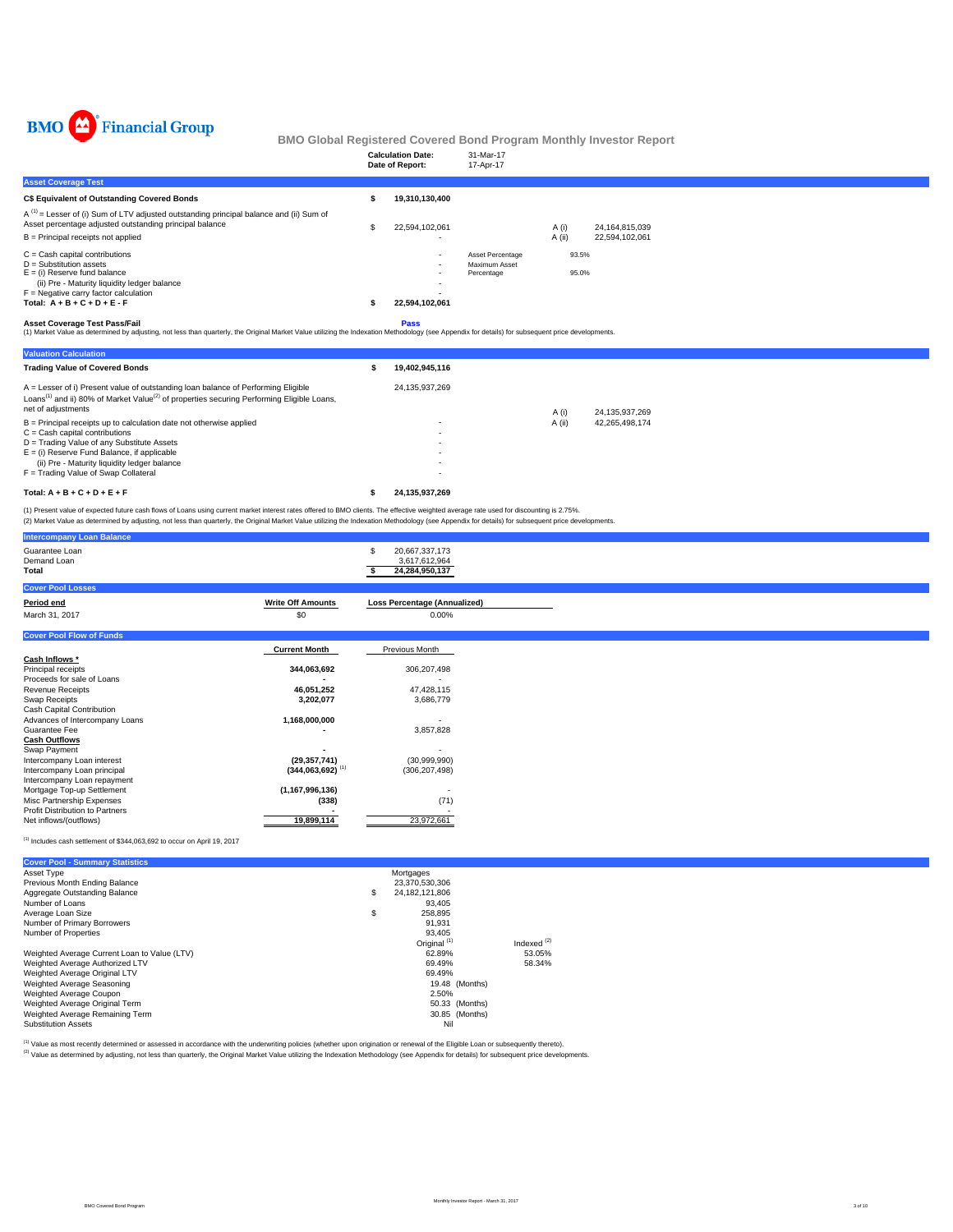

|                                                                                                                                                                                                                                            | <b>Calculation Date:</b><br>Date of Report: | 31-Mar-17<br>17-Apr-17                          |                 |                                  |
|--------------------------------------------------------------------------------------------------------------------------------------------------------------------------------------------------------------------------------------------|---------------------------------------------|-------------------------------------------------|-----------------|----------------------------------|
| <b>Asset Coverage Test</b>                                                                                                                                                                                                                 |                                             |                                                 |                 |                                  |
| C\$ Equivalent of Outstanding Covered Bonds                                                                                                                                                                                                | 19,310,130,400                              |                                                 |                 |                                  |
| $A^{(1)}$ = Lesser of (i) Sum of LTV adjusted outstanding principal balance and (ii) Sum of<br>Asset percentage adjusted outstanding principal balance<br>$B =$ Principal receipts not applied                                             | 22,594,102,061                              |                                                 | A (i)<br>A (ii) | 24,164,815,039<br>22,594,102,061 |
| $C =$ Cash capital contributions<br>$D =$ Substitution assets<br>$E =$ (i) Reserve fund balance<br>(ii) Pre - Maturity liquidity ledger balance<br>$F =$ Negative carry factor calculation<br>Total: $A + B + C + D + E - F$               | $\overline{\phantom{a}}$<br>22,594,102,061  | Asset Percentage<br>Maximum Asset<br>Percentage | 93.5%<br>95.0%  |                                  |
| <b>Asset Coverage Test Pass/Fail</b><br>(1) Market Value as determined by adjusting, not less than quarterly, the Original Market Value utilizing the Indexation Methodology (see Appendix for details) for subsequent price developments. | <b>Pass</b>                                 |                                                 |                 |                                  |

| <b>Valuation Calculation</b>                                                                                                                                                                                                 |                |        |                |
|------------------------------------------------------------------------------------------------------------------------------------------------------------------------------------------------------------------------------|----------------|--------|----------------|
| <b>Trading Value of Covered Bonds</b>                                                                                                                                                                                        | 19.402.945.116 |        |                |
| A = Lesser of i) Present value of outstanding loan balance of Performing Eligible<br>Loans <sup>(1)</sup> and ii) 80% of Market Value <sup>(2)</sup> of properties securing Performing Eligible Loans,<br>net of adjustments | 24.135.937.269 | A (i)  | 24.135.937.269 |
| $B =$ Principal receipts up to calculation date not otherwise applied                                                                                                                                                        | ۰              | A (ii) | 42.265.498.174 |
| $C =$ Cash capital contributions                                                                                                                                                                                             |                |        |                |
| D = Trading Value of any Substitute Assets                                                                                                                                                                                   | ۰              |        |                |
| $E =$ (i) Reserve Fund Balance, if applicable                                                                                                                                                                                | ۰              |        |                |
| (ii) Pre - Maturity liquidity ledger balance                                                                                                                                                                                 | ۰              |        |                |
| F = Trading Value of Swap Collateral                                                                                                                                                                                         | ۰              |        |                |
| Total: $A + B + C + D + E + F$                                                                                                                                                                                               | 24.135.937.269 |        |                |

(1) Present value of expected future cash flows of Loans using current market interest rates offered to BMO clients. The effective weighted average rate used for discounting is 2.75%.<br>(2) Market Value as determined by adju

|                          | 20,667,337,173<br>3,617,612,964<br>24,284,950,137                                                                                                                 |
|--------------------------|-------------------------------------------------------------------------------------------------------------------------------------------------------------------|
|                          |                                                                                                                                                                   |
| <b>Write Off Amounts</b> | <b>Loss Percentage (Annualized)</b>                                                                                                                               |
| \$0                      | 0.00%                                                                                                                                                             |
|                          |                                                                                                                                                                   |
|                          | Previous Month                                                                                                                                                    |
|                          |                                                                                                                                                                   |
| 344,063,692              | 306,207,498                                                                                                                                                       |
|                          |                                                                                                                                                                   |
|                          | 47,428,115                                                                                                                                                        |
|                          | 3,686,779                                                                                                                                                         |
|                          |                                                                                                                                                                   |
|                          | $\overline{\phantom{a}}$                                                                                                                                          |
|                          | 3,857,828                                                                                                                                                         |
|                          |                                                                                                                                                                   |
|                          |                                                                                                                                                                   |
|                          | (30,999,990)                                                                                                                                                      |
|                          | (306, 207, 498)                                                                                                                                                   |
|                          |                                                                                                                                                                   |
|                          |                                                                                                                                                                   |
|                          | (71)                                                                                                                                                              |
|                          |                                                                                                                                                                   |
|                          | 23,972,661                                                                                                                                                        |
|                          | <b>Current Month</b><br>46,051,252<br>3,202,077<br>1,168,000,000<br>(29, 357, 741)<br>$(344,063,692)$ <sup>(1)</sup><br>(1, 167, 996, 136)<br>(338)<br>19,899,114 |

 $^{(1)}$  Includes cash settlement of \$344,063,692 to occur on April 19, 2017

| <b>Cover Pool - Summary Statistics</b>       |                         |                  |  |
|----------------------------------------------|-------------------------|------------------|--|
| Asset Type                                   | Mortgages               |                  |  |
| Previous Month Ending Balance                | 23.370.530.306          |                  |  |
| Aggregate Outstanding Balance                | \$<br>24.182.121.806    |                  |  |
| Number of Loans                              | 93.405                  |                  |  |
| Average Loan Size                            | \$<br>258.895           |                  |  |
| Number of Primary Borrowers                  | 91.931                  |                  |  |
| Number of Properties                         | 93.405                  |                  |  |
|                                              | Original <sup>(1)</sup> | Indexed $^{(2)}$ |  |
| Weighted Average Current Loan to Value (LTV) | 62.89%                  | 53.05%           |  |
| Weighted Average Authorized LTV              | 69.49%                  | 58.34%           |  |
| Weighted Average Original LTV                | 69.49%                  |                  |  |
| Weighted Average Seasoning                   |                         | 19.48 (Months)   |  |
| Weighted Average Coupon                      | 2.50%                   |                  |  |
| Weighted Average Original Term               |                         | 50.33 (Months)   |  |
| Weighted Average Remaining Term              |                         | 30.85 (Months)   |  |
| <b>Substitution Assets</b>                   | Nil                     |                  |  |

<sup>(1)</sup> Value as most recently determined or assessed in accordance with the underwriting policies (whether upon origination or renewal of the Eligible Loan or subsequently thereto).<br><sup>(2)</sup> Value as determined by adjusting, n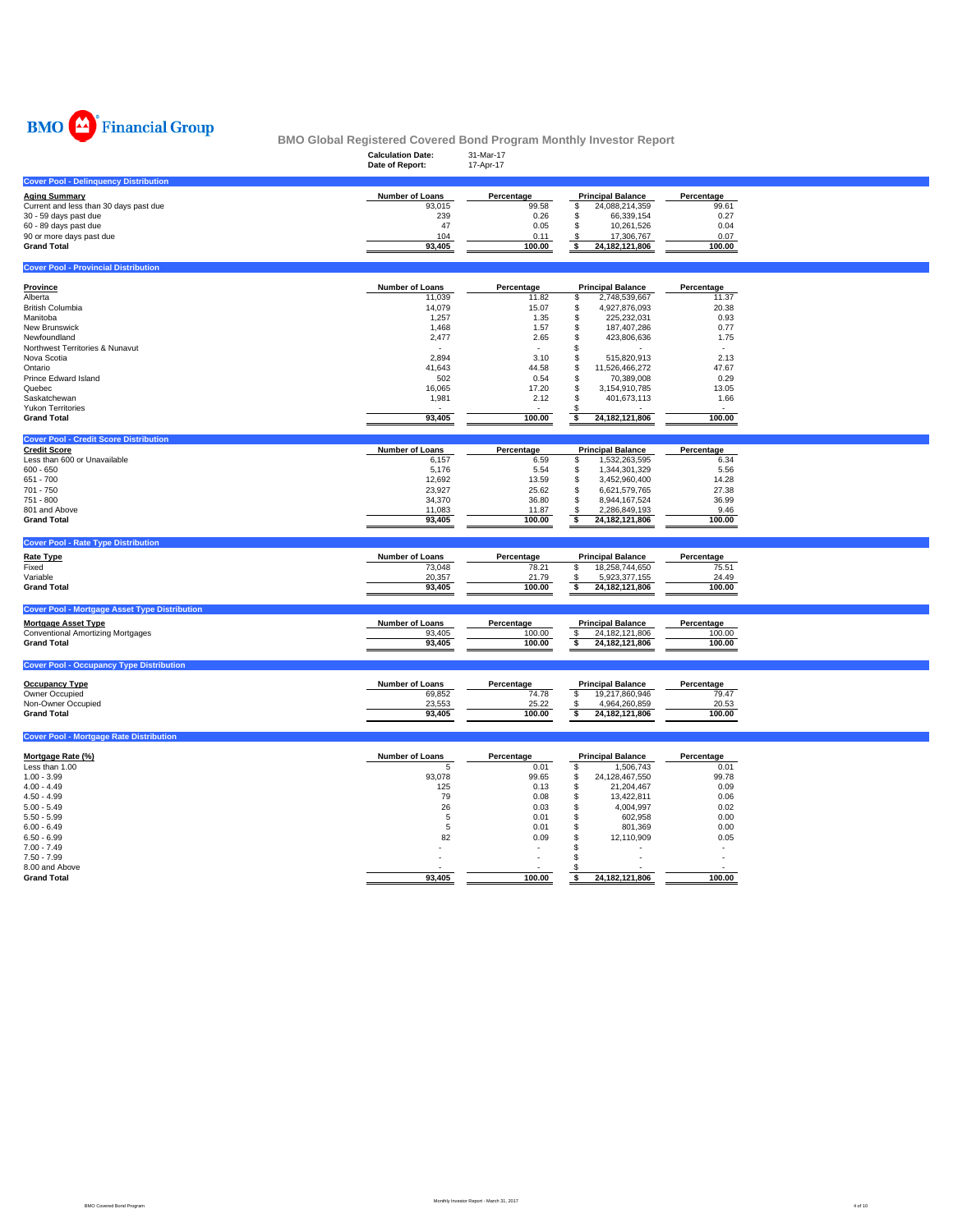

| טגיע<br>, I manom oroup                              | BMO Global Registered Covered Bond Program Monthly Investor Report |                |                                       |              |  |
|------------------------------------------------------|--------------------------------------------------------------------|----------------|---------------------------------------|--------------|--|
|                                                      | <b>Calculation Date:</b>                                           | 31-Mar-17      |                                       |              |  |
|                                                      | Date of Report:                                                    | 17-Apr-17      |                                       |              |  |
|                                                      |                                                                    |                |                                       |              |  |
| <b>Cover Pool - Delinquency Distribution</b>         |                                                                    |                |                                       |              |  |
| <b>Aging Summary</b>                                 | Number of Loans                                                    | Percentage     | <b>Principal Balance</b>              | Percentage   |  |
| Current and less than 30 days past due               | 93,015                                                             | 99.58          | \$<br>24,088,214,359                  | 99.61        |  |
| 30 - 59 days past due                                | 239                                                                | 0.26           | 66,339,154<br>\$                      | 0.27         |  |
| 60 - 89 days past due                                | 47<br>104                                                          | 0.05           | 10,261,526<br>\$<br>S.                | 0.04<br>0.07 |  |
| 90 or more days past due<br><b>Grand Total</b>       | 93,405                                                             | 0.11<br>100.00 | 17,306,767<br>24, 182, 121, 806<br>\$ | 100.00       |  |
|                                                      |                                                                    |                |                                       |              |  |
| <b>Cover Pool - Provincial Distribution</b>          |                                                                    |                |                                       |              |  |
| Province                                             | <b>Number of Loans</b>                                             | Percentage     | <b>Principal Balance</b>              | Percentage   |  |
| Alberta                                              | 11,039                                                             | 11.82          | 2,748,539,667<br>S                    | 11.37        |  |
| <b>British Columbia</b>                              | 14,079                                                             | 15.07          | \$<br>4,927,876,093                   | 20.38        |  |
| Manitoba                                             | 1,257                                                              | 1.35           | \$<br>225,232,031                     | 0.93         |  |
| New Brunswick                                        | 1,468                                                              | 1.57           | S<br>187,407,286                      | 0.77         |  |
| Newfoundland                                         | 2,477                                                              | 2.65           | S<br>423,806,636                      | 1.75         |  |
| Northwest Territories & Nunavut                      |                                                                    |                | S                                     |              |  |
| Nova Scotia                                          | 2,894                                                              | 3.10           | 515,820,913<br>\$                     | 2.13         |  |
| Ontario                                              | 41,643                                                             | 44.58          | 11,526,466,272<br>S                   | 47.67        |  |
| Prince Edward Island                                 | 502                                                                | 0.54           | 70,389,008<br>S                       | 0.29         |  |
| Quebec                                               | 16,065                                                             | 17.20          | 3,154,910,785<br>S.                   | 13.05        |  |
| Saskatchewan                                         | 1,981                                                              | 2.12           | S<br>401,673,113                      | 1.66         |  |
| <b>Yukon Territories</b>                             |                                                                    |                | 24, 182, 121, 806                     | 100.00       |  |
| <b>Grand Total</b>                                   | 93,405                                                             | 100.00         | \$                                    |              |  |
| <b>Cover Pool - Credit Score Distribution</b>        |                                                                    |                |                                       |              |  |
| <b>Credit Score</b>                                  | Number of Loans                                                    | Percentage     | <b>Principal Balance</b>              | Percentage   |  |
| Less than 600 or Unavailable                         | 6,157                                                              | 6.59           | 1,532,263,595<br>\$                   | 6.34         |  |
| $600 - 650$                                          | 5,176                                                              | 5.54           | 1,344,301,329<br>\$                   | 5.56         |  |
| $651 - 700$                                          | 12,692                                                             | 13.59          | 3,452,960,400<br>s.                   | 14.28        |  |
| 701 - 750                                            | 23,927                                                             | 25.62          | S<br>6,621,579,765                    | 27.38        |  |
| 751 - 800                                            | 34,370                                                             | 36.80          | \$<br>8,944,167,524                   | 36.99        |  |
| 801 and Above                                        | 11,083                                                             | 11.87          | 2,286,849,193<br>\$                   | 9.46         |  |
| <b>Grand Total</b>                                   | 93,405                                                             | 100.00         | 24, 182, 121, 806<br>\$               | 100.00       |  |
| <b>Cover Pool - Rate Type Distribution</b>           |                                                                    |                |                                       |              |  |
| <b>Rate Type</b>                                     | Number of Loans                                                    | Percentage     | <b>Principal Balance</b>              | Percentage   |  |
| Fixed                                                | 73,048                                                             | 78.21          | \$<br>18,258,744,650                  | 75.51        |  |
| Variable                                             | 20,357                                                             | 21.79          | 5,923,377,155<br>\$                   | 24.49        |  |
| <b>Grand Total</b>                                   | 93,405                                                             | 100.00         | \$<br>24, 182, 121, 806               | 100.00       |  |
| <b>Cover Pool - Mortgage Asset Type Distribution</b> |                                                                    |                |                                       |              |  |
| <b>Mortgage Asset Type</b>                           | Number of Loans                                                    | Percentage     | <b>Principal Balance</b>              | Percentage   |  |
| <b>Conventional Amortizing Mortgages</b>             | 93,405                                                             | 100.00         | 24, 182, 121, 806<br>\$               | 100.00       |  |
| <b>Grand Total</b>                                   | 93,405                                                             | 100.00         | \$<br>24,182,121,806                  | 100.00       |  |
|                                                      |                                                                    |                |                                       |              |  |
| <b>Cover Pool - Occupancy Type Distribution</b>      |                                                                    |                |                                       |              |  |
| <b>Occupancy Type</b>                                | Number of Loans                                                    | Percentage     | <b>Principal Balance</b>              | Percentage   |  |
| Owner Occupied                                       | 69,852                                                             | 74.78          | \$<br>19,217,860,946                  | 79.47        |  |
| Non-Owner Occupied                                   | 23,553                                                             | 25.22          | - \$<br>4,964,260,859                 | 20.53        |  |
| <b>Grand Total</b>                                   | 93,405                                                             | 100.00         | 24,182,121,806<br>\$                  | 100.00       |  |
| <b>Cover Pool - Mortgage Rate Distribution</b>       |                                                                    |                |                                       |              |  |
|                                                      |                                                                    |                |                                       |              |  |
| Mortgage Rate (%)                                    | <b>Number of Loans</b>                                             | Percentage     | <b>Principal Balance</b>              | Percentage   |  |
| Less than 1.00                                       | 5                                                                  | 0.01           | \$<br>1,506,743                       | 0.01         |  |
| $1.00 - 3.99$                                        | 93,078                                                             | 99.65          | 24,128,467,550<br>S                   | 99.78        |  |
| $4.00 - 4.49$                                        | 125                                                                | 0.13           | \$<br>21,204,467                      | 0.09         |  |
| $4.50 - 4.99$                                        | 79                                                                 | 0.08           | S<br>13,422,811                       | 0.06         |  |
| $5.00 - 5.49$                                        | 26                                                                 | 0.03           | S<br>4,004,997                        | 0.02         |  |
| $5.50 - 5.99$                                        | 5                                                                  | 0.01           | S<br>602,958                          | 0.00         |  |
| $6.00 - 6.49$                                        | 5                                                                  | 0.01           | 801,369<br>S                          | 0.00         |  |
| $6.50 - 6.99$                                        | 82                                                                 | 0.09           | 12,110,909<br>S                       | 0.05         |  |
| $7.00 - 7.49$                                        |                                                                    | ٠              | \$                                    | $\sim$       |  |
| 7.50 - 7.99                                          |                                                                    |                | s.                                    |              |  |

8.00 and Above - - - \$ - **Grand Total 100.00 93,405 24,182,121,806 \$ 100.00**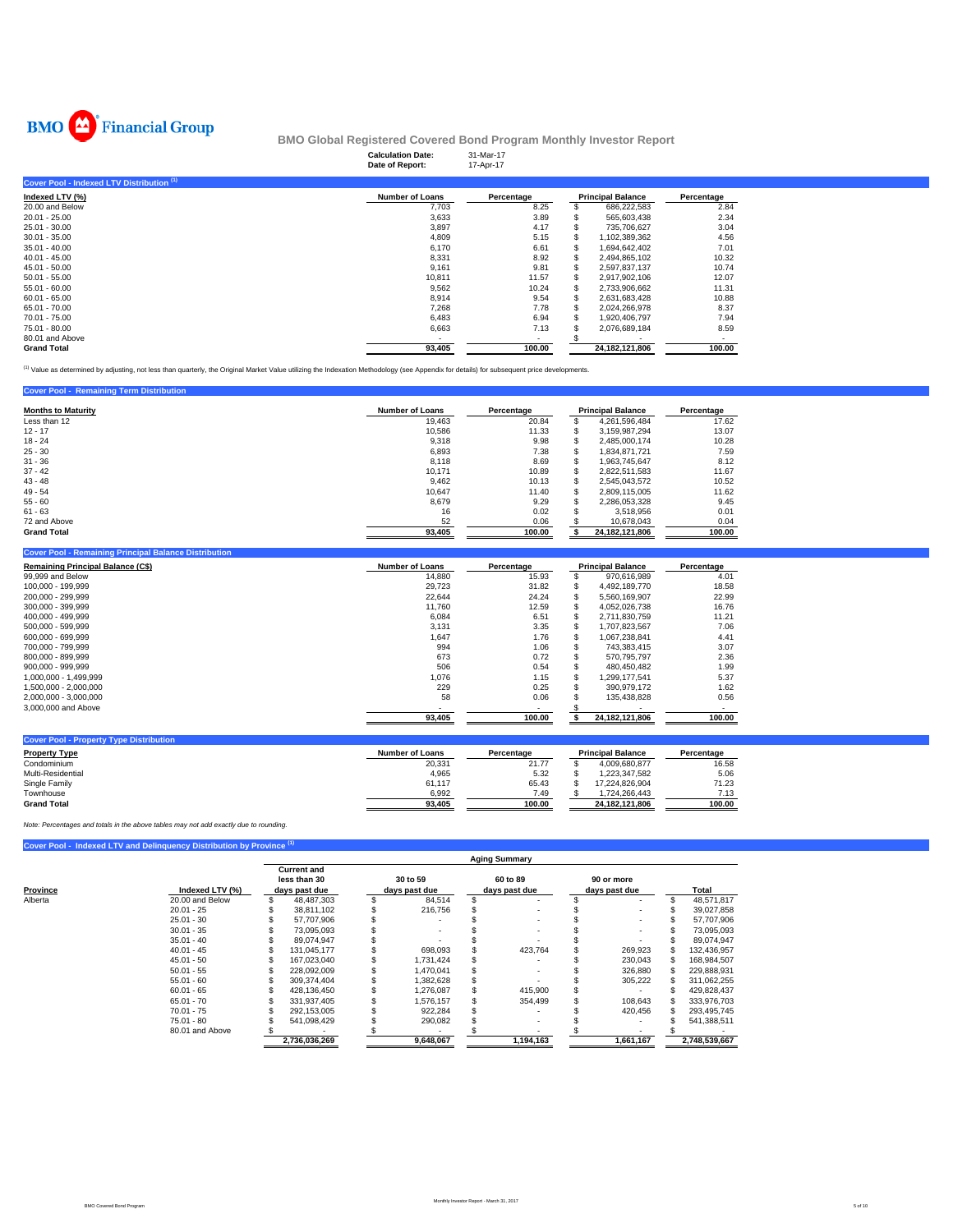

|                                           | <b>Calculation Date:</b><br>Date of Report: | 31-Mar-17<br>17-Apr-17 |                          |            |
|-------------------------------------------|---------------------------------------------|------------------------|--------------------------|------------|
| Cover Pool - Indexed LTV Distribution (1) |                                             |                        |                          |            |
| Indexed LTV (%)                           | <b>Number of Loans</b>                      | Percentage             | <b>Principal Balance</b> | Percentage |
| 20.00 and Below                           | 7,703                                       | 8.25                   | 686,222,583              | 2.84       |
| $20.01 - 25.00$                           | 3,633                                       | 3.89                   | 565.603.438              | 2.34       |
| 25.01 - 30.00                             | 3,897                                       | 4.17                   | 735,706,627              | 3.04       |
| $30.01 - 35.00$                           | 4.809                                       | 5.15                   | 1,102,389,362            | 4.56       |
| $35.01 - 40.00$                           | 6,170                                       | 6.61                   | 1,694,642,402            | 7.01       |
| $40.01 - 45.00$                           | 8,331                                       | 8.92                   | 2.494.865.102            | 10.32      |
| 45.01 - 50.00                             | 9,161                                       | 9.81                   | 2,597,837,137            | 10.74      |
| $50.01 - 55.00$                           | 10,811                                      | 11.57                  | 2,917,902,106            | 12.07      |
| $55.01 - 60.00$                           | 9,562                                       | 10.24                  | 2,733,906,662            | 11.31      |
| $60.01 - 65.00$                           | 8,914                                       | 9.54                   | 2,631,683,428            | 10.88      |
| 65.01 - 70.00                             | 7,268                                       | 7.78                   | 2,024,266,978            | 8.37       |
| 70.01 - 75.00                             | 6,483                                       | 6.94                   | 1,920,406,797            | 7.94       |
| 75.01 - 80.00                             | 6,663                                       | 7.13                   | 2,076,689,184            | 8.59       |
| 80.01 and Above                           |                                             |                        |                          |            |
| <b>Grand Total</b>                        | 93,405                                      | 100.00                 | 24.182.121.806           | 100.00     |

(1) Value as determined by adjusting, not less than quarterly, the Original Market Value utilizing the Indexation Methodology (see Appendix for details) for subsequent price developments.

#### **Cover Pool - Remaining Term Distribution**

| <b>Months to Maturity</b> | <b>Number of Loans</b> | Percentage | <b>Principal Balance</b> |                | Percentage |
|---------------------------|------------------------|------------|--------------------------|----------------|------------|
| Less than 12              | 19.463                 | 20.84      | <b>JD</b>                | 4.261.596.484  | 17.62      |
| $12 - 17$                 | 10,586                 | 11.33      | J.                       | 3,159,987,294  | 13.07      |
| $18 - 24$                 | 9,318                  | 9.98       | \$.                      | 2.485.000.174  | 10.28      |
| $25 - 30$                 | 6,893                  | 7.38       | \$.                      | 1.834.871.721  | 7.59       |
| $31 - 36$                 | 8,118                  | 8.69       | ъ                        | 1.963.745.647  | 8.12       |
| $37 - 42$                 | 10.171                 | 10.89      | \$.                      | 2.822.511.583  | 11.67      |
| $43 - 48$                 | 9,462                  | 10.13      | \$.                      | 2.545.043.572  | 10.52      |
| $49 - 54$                 | 10,647                 | 11.40      | ъ                        | 2.809.115.005  | 11.62      |
| $55 - 60$                 | 8.679                  | 9.29       | ÷<br>æ                   | 2,286,053,328  | 9.45       |
| $61 - 63$                 | 16                     | 0.02       | S                        | 3,518,956      | 0.01       |
| 72 and Above              | 52                     | 0.06       |                          | 10.678.043     | 0.04       |
| <b>Grand Total</b>        | 93,405                 | 100.00     |                          | 24.182.121.806 | 100.00     |

| <b>Cover Pool - Remaining Principal Balance Distribution</b> |                        |            |    |                          |            |  |
|--------------------------------------------------------------|------------------------|------------|----|--------------------------|------------|--|
| <b>Remaining Principal Balance (C\$)</b>                     | <b>Number of Loans</b> | Percentage |    | <b>Principal Balance</b> | Percentage |  |
| 99,999 and Below                                             | 14,880                 | 15.93      |    | 970,616,989              | 4.01       |  |
| 100.000 - 199.999                                            | 29.723                 | 31.82      | S  | 4.492.189.770            | 18.58      |  |
| 200.000 - 299.999                                            | 22,644                 | 24.24      |    | 5.560.169.907            | 22.99      |  |
| 300,000 - 399,999                                            | 11,760                 | 12.59      |    | 4,052,026,738            | 16.76      |  |
| 400.000 - 499.999                                            | 6,084                  | 6.51       | S  | 2.711.830.759            | 11.21      |  |
| 500.000 - 599.999                                            | 3,131                  | 3.35       | ж  | 1.707.823.567            | 7.06       |  |
| 600.000 - 699.999                                            | 1,647                  | 1.76       | ж  | 1.067.238.841            | 4.41       |  |
| 700.000 - 799.999                                            | 994                    | 1.06       | S. | 743.383.415              | 3.07       |  |
| 800.000 - 899.999                                            | 673                    | 0.72       |    | 570.795.797              | 2.36       |  |
| $900.000 - 999.999$                                          | 506                    | 0.54       |    | 480.450.482              | 1.99       |  |
| 1.000.000 - 1.499.999                                        | 1.076                  | 1.15       |    | 1.299.177.541            | 5.37       |  |
| 1,500,000 - 2,000,000                                        | 229                    | 0.25       |    | 390.979.172              | 1.62       |  |
| 2,000,000 - 3,000,000                                        | 58                     | 0.06       |    | 135,438,828              | 0.56       |  |
| 3,000,000 and Above                                          |                        | . .        |    |                          |            |  |
|                                                              | 93,405                 | 100.00     |    | 24,182,121,806           | 100.00     |  |
|                                                              |                        |            |    |                          |            |  |

| <b>Cover Pool - Property Type Distribution</b> |                 |            |                          |            |
|------------------------------------------------|-----------------|------------|--------------------------|------------|
| <b>Property Type</b>                           | Number of Loans | Percentage | <b>Principal Balance</b> | Percentage |
| Condominium                                    | 20,331          | 21.77      | 4.009.680.877            | 16.58      |
| Multi-Residential                              | 4.965           | 5.32       | 1.223.347.582            | 5.06       |
| Single Family                                  | 61.117          | 65.43      | 17.224.826.904           | 71.23      |
| Townhouse                                      | 6.992           | 7.49       | .724.266.443             | 7.13       |
| <b>Grand Total</b>                             | 93.405          | 100.00     | 24.182.121.806           | 100.00     |

*Note: Percentages and totals in the above tables may not add exactly due to rounding.*

# **Cover Pool - Indexed LTV and Delinquency Distribution by Province (1) Current and**

|          |                 |               | less than 30  |               | 30 to 59  | 60 to 89      |               | 90 or more |  |               |
|----------|-----------------|---------------|---------------|---------------|-----------|---------------|---------------|------------|--|---------------|
| Province | Indexed LTV (%) | days past due |               | davs past due |           | days past due | days past due |            |  | Total         |
| Alberta  | 20.00 and Below |               | 48.487.303    |               | 84.514    |               |               |            |  | 48,571,817    |
|          | $20.01 - 25$    |               | 38.811.102    |               | 216,756   |               |               |            |  | 39.027.858    |
|          | $25.01 - 30$    |               | 57.707.906    |               |           |               |               |            |  | 57,707,906    |
|          | $30.01 - 35$    |               | 73.095.093    |               |           |               |               |            |  | 73.095.093    |
|          | $35.01 - 40$    |               | 89.074.947    |               |           |               |               |            |  | 89.074.947    |
|          | $40.01 - 45$    |               | 131.045.177   |               | 698.093   | 423.764       |               | 269,923    |  | 132.436.957   |
|          | $45.01 - 50$    |               | 167.023.040   |               | 1.731.424 |               |               | 230.043    |  | 168,984,507   |
|          | $50.01 - 55$    |               | 228.092.009   |               | 1.470.041 |               |               | 326,880    |  | 229.888.931   |
|          | $55.01 - 60$    |               | 309.374.404   |               | 1.382.628 |               |               | 305,222    |  | 311,062,255   |
|          | $60.01 - 65$    |               | 428.136.450   |               | 1,276,087 | 415,900       |               |            |  | 429,828,437   |
|          | $65.01 - 70$    |               | 331.937.405   |               | 1.576.157 | 354,499       |               | 108.643    |  | 333,976,703   |
|          | $70.01 - 75$    |               | 292.153.005   |               | 922,284   |               |               | 420.456    |  | 293.495.745   |
|          | $75.01 - 80$    |               | 541.098.429   |               | 290,082   |               |               |            |  | 541.388.511   |
|          | 80.01 and Above |               |               |               |           |               |               |            |  |               |
|          |                 |               | 2,736,036,269 |               | 9.648.067 | 1,194,163     |               | 1,661,167  |  | 2,748,539,667 |

**Aging Summary**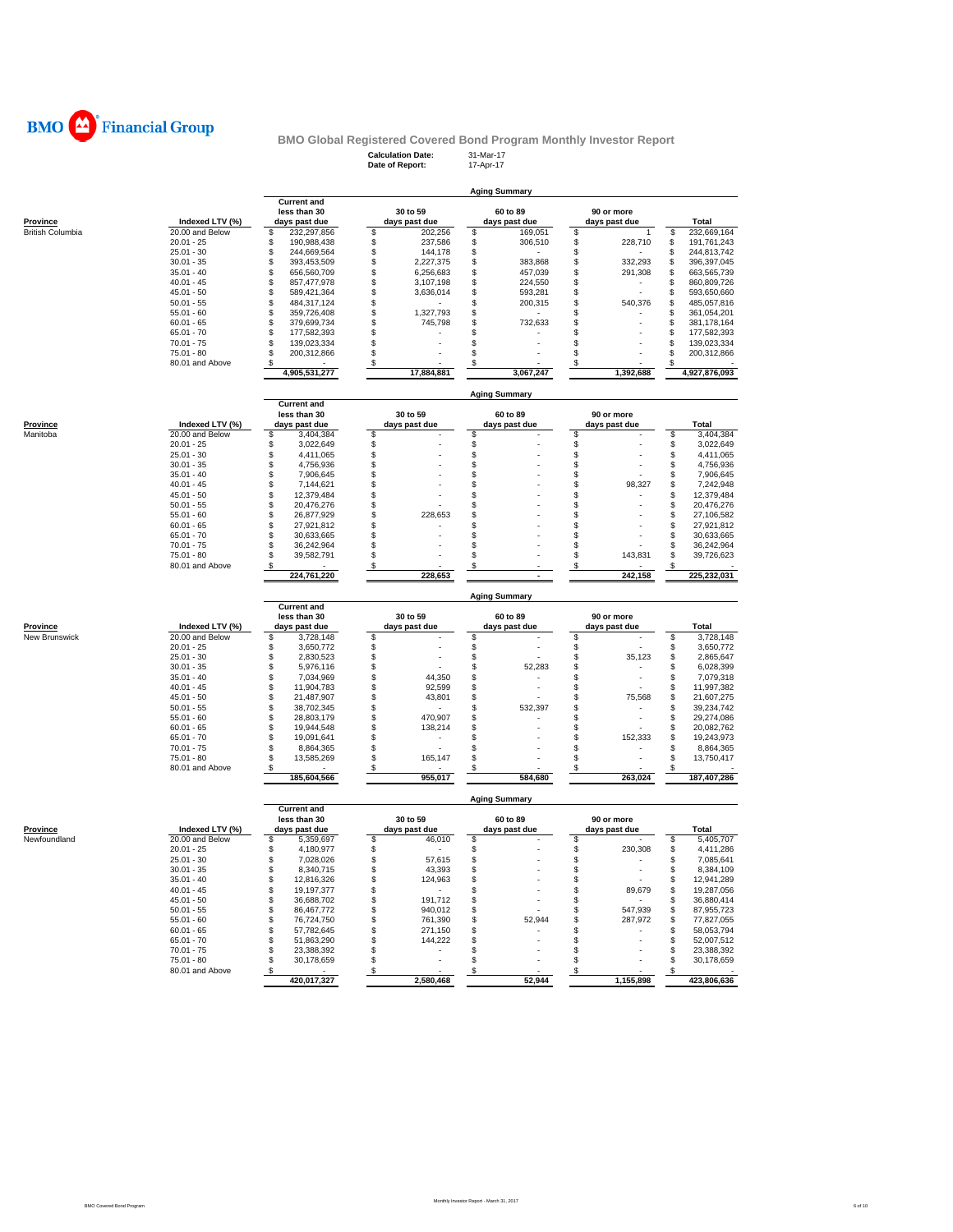

### **Calculation Date:** 31-Mar-17 **BMO Global Registered Covered Bond Program Monthly Investor Report**

|                                  |                                    |                                        | Date of Report:  |                      | 17-Apr-17                       |                                 |                          |          |                            |
|----------------------------------|------------------------------------|----------------------------------------|------------------|----------------------|---------------------------------|---------------------------------|--------------------------|----------|----------------------------|
|                                  |                                    |                                        |                  |                      |                                 |                                 |                          |          |                            |
|                                  |                                    | <b>Current and</b>                     |                  |                      | <b>Aging Summary</b>            |                                 |                          |          |                            |
|                                  |                                    | less than 30                           |                  | 30 to 59             | 60 to 89                        |                                 | 90 or more               |          |                            |
| <b>Province</b>                  | Indexed LTV (%)                    | days past due                          |                  | days past due        | days past due                   |                                 | days past due            |          | Total                      |
| <b>British Columbia</b>          | 20.00 and Below                    | \$<br>232,297,856                      | \$               | 202,256              | \$<br>169,051                   | \$                              |                          | \$       | 232,669,164                |
|                                  | $20.01 - 25$                       | \$<br>190,988,438                      | \$               | 237,586              | \$<br>306,510                   | \$                              | 228,710                  | \$       | 191,761,243                |
|                                  | $25.01 - 30$<br>$30.01 - 35$       | \$<br>244,669,564<br>\$<br>393,453,509 | \$<br>\$         | 144,178<br>2,227,375 | \$<br>\$<br>383,868             | \$<br>\$                        | 332,293                  | \$<br>\$ | 244,813,742<br>396,397,045 |
|                                  | $35.01 - 40$                       | \$<br>656,560,709                      | \$               | 6,256,683            | \$<br>457,039                   | \$                              | 291,308                  | \$       | 663,565,739                |
|                                  | $40.01 - 45$                       | \$<br>857,477,978                      | \$               | 3,107,198            | \$<br>224,550                   | \$                              |                          | \$       | 860,809,726                |
|                                  | $45.01 - 50$                       | \$<br>589,421,364                      | \$               | 3,636,014            | \$<br>593,281                   | \$                              |                          | \$       | 593,650,660                |
|                                  | $50.01 - 55$                       | \$<br>484,317,124                      | \$               |                      | \$<br>200,315                   | \$                              | 540,376                  | \$       | 485,057,816                |
|                                  | $55.01 - 60$                       | \$<br>359,726,408                      | \$               | 1,327,793            | \$                              | \$                              |                          | \$       | 361,054,201                |
|                                  | $60.01 - 65$                       | \$<br>379,699,734                      | \$               | 745,798              | \$<br>732,633                   | \$                              |                          | \$       | 381,178,164                |
|                                  | $65.01 - 70$                       | \$<br>177,582,393                      | \$               |                      | S                               | \$                              |                          | \$       | 177,582,393                |
|                                  | $70.01 - 75$<br>$75.01 - 80$       | \$<br>139,023,334<br>\$                | \$<br>\$         |                      | \$<br>\$                        | \$<br>\$                        |                          | \$<br>\$ | 139,023,334                |
|                                  | 80.01 and Above                    | 200,312,866<br>\$                      | \$               |                      | \$                              | \$                              |                          | \$       | 200,312,866                |
|                                  |                                    | 4,905,531,277                          |                  | 17,884,881           | 3,067,247                       |                                 | 1,392,688                |          | 4,927,876,093              |
|                                  |                                    |                                        |                  |                      |                                 |                                 |                          |          |                            |
|                                  |                                    |                                        |                  |                      | <b>Aging Summary</b>            |                                 |                          |          |                            |
|                                  |                                    | <b>Current and</b>                     |                  |                      |                                 |                                 |                          |          |                            |
|                                  |                                    | less than 30                           |                  | 30 to 59             | 60 to 89                        |                                 | 90 or more               |          |                            |
| <b>Province</b><br>Manitoba      | Indexed LTV (%)<br>20.00 and Below | days past due<br>\$<br>3,404,384       | \$               | days past due        | days past due<br>\$             | \$                              | days past due            | \$       | Total<br>3,404,384         |
|                                  | $20.01 - 25$                       | \$<br>3,022,649                        | \$               |                      | \$                              | \$                              |                          | \$       | 3,022,649                  |
|                                  | $25.01 - 30$                       | \$<br>4,411,065                        | \$               |                      | \$                              | \$                              |                          | \$       | 4,411,065                  |
|                                  | $30.01 - 35$                       | \$<br>4,756,936                        | \$               |                      | \$                              | \$                              |                          | \$       | 4,756,936                  |
|                                  | $35.01 - 40$                       | \$<br>7,906,645                        | \$               |                      | \$                              | \$                              |                          | \$       | 7,906,645                  |
|                                  | $40.01 - 45$                       | \$<br>7,144,621                        | \$               |                      | \$                              | \$                              | 98,327                   | \$       | 7,242,948                  |
|                                  | $45.01 - 50$                       | \$<br>12,379,484                       | \$               |                      | \$                              | \$                              |                          | \$       | 12,379,484                 |
|                                  | $50.01 - 55$                       | \$<br>20,476,276                       | \$               |                      | \$                              | \$                              |                          | \$       | 20,476,276                 |
|                                  | $55.01 - 60$                       | \$<br>26,877,929                       | \$               | 228,653              | \$                              | \$                              |                          | \$       | 27,106,582                 |
|                                  | $60.01 - 65$                       | \$<br>27,921,812                       | \$               |                      | \$                              | \$                              |                          | \$       | 27,921,812                 |
|                                  | $65.01 - 70$                       | \$<br>30,633,665<br>\$<br>36,242,964   | \$<br>\$         |                      | \$<br>\$                        | \$<br>\$                        |                          | \$<br>\$ | 30,633,665                 |
|                                  | $70.01 - 75$<br>$75.01 - 80$       | \$<br>39,582,791                       | \$               |                      | \$                              | \$                              | 143.831                  | \$       | 36,242,964<br>39,726,623   |
|                                  | 80.01 and Above                    | \$                                     | \$               |                      | S                               | \$                              |                          | S        |                            |
|                                  |                                    | 224,761,220                            |                  | 228,653              |                                 |                                 | 242,158                  |          | 225,232,031                |
|                                  |                                    |                                        |                  |                      |                                 |                                 |                          |          |                            |
|                                  |                                    |                                        |                  |                      | <b>Aging Summary</b>            |                                 |                          |          |                            |
|                                  |                                    |                                        |                  |                      |                                 |                                 |                          |          |                            |
|                                  |                                    | <b>Current and</b>                     |                  |                      |                                 |                                 |                          |          |                            |
|                                  |                                    | less than 30                           |                  | 30 to 59             | 60 to 89                        |                                 | 90 or more               |          |                            |
| <b>Province</b><br>New Brunswick | Indexed LTV (%)<br>20.00 and Below | days past due<br>\$<br>3,728,148       | \$               | days past due        | days past due<br>\$             | \$                              | days past due            | \$       | Total<br>3,728,148         |
|                                  | $20.01 - 25$                       | \$<br>3,650,772                        | \$               |                      | \$                              | \$                              |                          | \$       | 3,650,772                  |
|                                  | $25.01 - 30$                       | \$<br>2,830,523                        | \$               |                      | \$                              | \$                              | 35,123                   | \$       | 2,865,647                  |
|                                  | $30.01 - 35$                       | \$<br>5,976,116                        | \$               |                      | \$<br>52,283                    | \$                              |                          | S        | 6,028,399                  |
|                                  | $35.01 - 40$                       | \$<br>7,034,969                        | \$               | 44,350               | \$                              | \$                              |                          | \$       | 7,079,318                  |
|                                  | $40.01 - 45$                       | \$<br>11,904,783                       | \$               | 92,599               | \$                              | \$                              |                          | \$       | 11,997,382                 |
|                                  | $45.01 - 50$                       | \$<br>21,487,907                       | \$               | 43,801               | \$                              | \$                              | 75,568                   | \$       | 21,607,275                 |
|                                  | $50.01 - 55$                       | \$<br>38,702,345                       | \$               |                      | \$<br>532,397                   | \$                              |                          | \$       | 39,234,742                 |
|                                  | $55.01 - 60$                       | \$<br>28,803,179                       | \$               | 470,907              | \$                              | \$                              |                          | \$       | 29,274,086                 |
|                                  | $60.01 - 65$<br>$65.01 - 70$       | \$<br>19,944,548<br>\$<br>19,091,641   | \$<br>\$         | 138,214              | \$<br>\$                        | \$<br>\$                        | 152,333                  | \$<br>\$ | 20,082,762<br>19,243,973   |
|                                  | $70.01 - 75$                       | \$<br>8,864,365                        | \$               |                      | \$                              | \$                              |                          | \$       | 8,864,365                  |
|                                  | 75.01 - 80                         | \$<br>13,585,269                       | \$               | 165,147              | \$                              | \$                              |                          | \$       | 13,750,417                 |
|                                  | 80.01 and Above                    | \$                                     | \$               |                      | £.                              | \$                              |                          | \$       |                            |
|                                  |                                    | 185,604,566                            |                  | 955,017              | 584,680                         |                                 | 263,024                  |          | 187,407,286                |
|                                  |                                    |                                        |                  |                      | <b>Aging Summary</b>            |                                 |                          |          |                            |
|                                  |                                    | <b>Current and</b>                     |                  |                      |                                 |                                 |                          |          |                            |
|                                  |                                    | less than 30                           |                  | 30 to 59             | 60 to 89                        |                                 | 90 or more               |          |                            |
| <b>Province</b>                  | Indexed LTV (%)                    | days past due                          |                  | days past due        | days past due                   |                                 | days past due            |          | Total                      |
| Newfoundland                     | 20.00 and Below                    | \$<br>5,359,697                        | \$               | 46,010               | \$                              | \$                              |                          | \$       | 5,405,707                  |
|                                  | $20.01 - 25$                       | \$<br>4,180,977<br>¢                   | \$<br>ፍ          |                      | \$<br>ፍ                         | \$<br>ፍ                         | 230,308                  | \$<br>S  | 4,411,286                  |
|                                  | $25.01 - 30$<br>$30.01 - 35$       | 7,028,026<br>\$<br>8,340,715           | \$               | 57,615<br>43,393     | \$                              | \$                              | $\overline{\phantom{a}}$ | \$       | 7,085,641<br>8,384,109     |
|                                  | $35.01 - 40$                       | \$<br>12,816,326                       | \$               | 124,963              | \$                              | \$                              |                          | \$       | 12,941,289                 |
|                                  | $40.01 - 45$                       | \$<br>19,197,377                       | \$               | $\sim$               | \$                              | \$                              | 89,679                   | \$       | 19,287,056                 |
|                                  | $45.01 - 50$                       | \$<br>36,688,702                       | \$               | 191,712              | \$                              | \$                              | $\sim$                   | \$       | 36,880,414                 |
|                                  | $50.01 - 55$                       | \$<br>86,467,772                       | \$               | 940,012              | \$                              | \$                              | 547,939                  | \$       | 87,955,723                 |
|                                  | $55.01 - 60$                       | \$<br>76,724,750                       | \$               | 761,390              | 52,944<br>\$                    | \$                              | 287,972                  | \$       | 77,827,055                 |
|                                  | $60.01 - 65$                       | \$<br>57,782,645                       | \$               | 271,150              | \$                              | \$                              | ٠                        | \$       | 58,053,794                 |
|                                  | $65.01 - 70$                       | \$<br>51,863,290                       | \$               | 144,222              | \$                              | \$                              |                          | \$       | 52,007,512                 |
|                                  | $70.01 - 75$                       | \$<br>23,388,392                       | \$               | $\sim$               | \$                              | \$                              |                          | \$       | 23,388,392                 |
|                                  | $75.01 - 80$<br>80.01 and Above    | \$<br>30,178,659<br>\$                 | \$<br>$\sqrt{3}$ |                      | \$<br>$\boldsymbol{\mathsf{s}}$ | \$<br>$\boldsymbol{\mathsf{s}}$ |                          | \$<br>\$ | 30,178,659                 |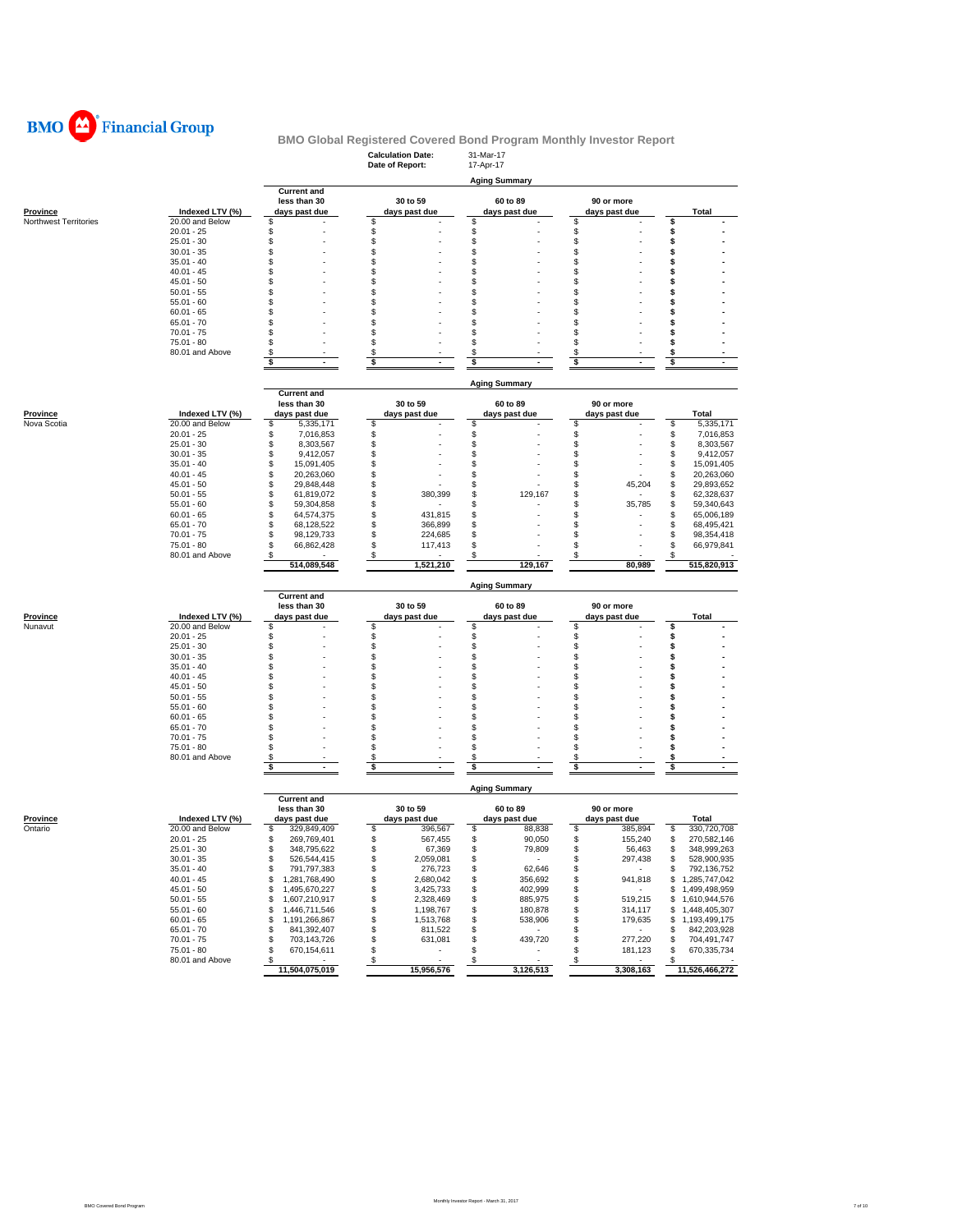

|                       |                                    |                                      | <b>Calculation Date:</b><br>Date of Report: | 31-Mar-17<br>17-Apr-17        |                           |                                        |
|-----------------------|------------------------------------|--------------------------------------|---------------------------------------------|-------------------------------|---------------------------|----------------------------------------|
|                       |                                    |                                      |                                             | <b>Aging Summary</b>          |                           |                                        |
|                       |                                    | <b>Current and</b>                   |                                             |                               |                           |                                        |
|                       |                                    | less than 30                         | 30 to 59                                    | 60 to 89                      | 90 or more                |                                        |
| <u>Province</u>       | Indexed LTV (%)<br>20.00 and Below | days past due                        | days past due                               | days past due                 | days past due             | <b>Total</b>                           |
| Northwest Territories | $20.01 - 25$                       | \$<br>\$                             | S<br>\$                                     | \$<br>\$                      | \$<br>\$                  | \$<br>\$                               |
|                       | $25.01 - 30$                       | \$                                   | \$                                          | \$                            | \$                        | \$                                     |
|                       | $30.01 - 35$                       | \$                                   | \$                                          | \$                            | \$                        | \$                                     |
|                       | $35.01 - 40$                       | \$                                   | S                                           | \$                            | \$                        | \$                                     |
|                       | $40.01 - 45$                       | \$                                   | S                                           | \$                            | \$                        | \$                                     |
|                       | $45.01 - 50$                       | \$                                   | S                                           | \$                            | \$                        | s                                      |
|                       | $50.01 - 55$                       | \$                                   | S                                           | \$                            | \$                        | \$                                     |
|                       | $55.01 - 60$<br>$60.01 - 65$       | \$<br>\$                             | S<br>S                                      | \$<br>\$                      | \$<br>\$                  | \$<br>s                                |
|                       | $65.01 - 70$                       | \$                                   | S                                           | \$                            | \$                        | s                                      |
|                       | $70.01 - 75$                       | S                                    | S                                           | \$                            | \$                        | s                                      |
|                       | $75.01 - 80$                       | \$                                   | S                                           | \$                            | \$                        | s                                      |
|                       | 80.01 and Above                    | \$                                   | \$                                          | \$                            | \$                        | \$                                     |
|                       |                                    | \$<br>$\blacksquare$                 | \$<br>$\blacksquare$                        | \$<br>$\blacksquare$          | \$<br>$\blacksquare$      | \$<br>$\sim$                           |
|                       |                                    |                                      |                                             |                               |                           |                                        |
|                       |                                    |                                      |                                             | <b>Aging Summary</b>          |                           |                                        |
|                       |                                    | <b>Current and</b><br>less than 30   | 30 to 59                                    | 60 to 89                      | 90 or more                |                                        |
| <u>Province</u>       | Indexed LTV (%)                    | days past due                        | days past due                               | days past due                 | days past due             | Total                                  |
| Nova Scotia           | 20.00 and Below                    | \$<br>5,335,171                      | \$                                          | \$                            | \$                        | \$<br>5,335,171                        |
|                       | $20.01 - 25$                       | \$<br>7,016,853                      | \$                                          | \$                            | \$                        | \$<br>7,016,853                        |
|                       | $25.01 - 30$                       | \$<br>8,303,567                      | \$                                          | \$                            | \$                        | \$<br>8,303,567                        |
|                       | $30.01 - 35$                       | \$<br>9,412,057                      | S                                           | \$                            | \$                        | \$<br>9,412,057                        |
|                       | $35.01 - 40$                       | \$<br>15,091,405                     | S                                           | \$                            | \$                        | \$<br>15,091,405                       |
|                       | $40.01 - 45$                       | \$<br>20,263,060                     | \$                                          | \$                            | \$                        | \$<br>20,263,060                       |
|                       | $45.01 - 50$                       | \$<br>29,848,448                     | S                                           | \$                            | \$<br>45,204              | \$<br>29,893,652                       |
|                       | $50.01 - 55$<br>$55.01 - 60$       | \$<br>61,819,072<br>\$<br>59,304,858 | S<br>380,399<br>S                           | \$<br>129,167<br>\$           | \$<br>\$<br>35,785        | \$<br>62,328,637<br>\$<br>59,340,643   |
|                       | $60.01 - 65$                       | \$<br>64,574,375                     | S<br>431,815                                | \$                            | \$                        | \$<br>65,006,189                       |
|                       | $65.01 - 70$                       | \$<br>68,128,522                     | S.<br>366,899                               | \$                            | S                         | \$<br>68,495,421                       |
|                       | $70.01 - 75$                       | \$<br>98,129,733                     | \$<br>224,685                               | \$                            | \$                        | \$<br>98,354,418                       |
|                       | 75.01 - 80                         | \$<br>66,862,428                     | \$<br>117,413                               | \$                            | \$                        | \$<br>66,979,841                       |
|                       | 80.01 and Above                    | S                                    | s                                           | \$                            | \$                        |                                        |
|                       |                                    | 514,089,548                          | 1,521,210                                   | 129,167                       | 80,989                    | 515,820,913                            |
|                       |                                    |                                      |                                             | <b>Aging Summary</b>          |                           |                                        |
|                       |                                    | <b>Current and</b><br>less than 30   | 30 to 59                                    | 60 to 89                      | 90 or more                |                                        |
| <u>Province</u>       | Indexed LTV (%)                    | days past due                        | days past due                               | days past due                 | days past due             | Total                                  |
| Nunavut               | 20.00 and Below                    | \$                                   | \$                                          | \$                            | \$                        | \$                                     |
|                       | $20.01 - 25$                       | \$                                   | \$                                          | \$                            | \$                        | \$                                     |
|                       | $25.01 - 30$                       | \$                                   | \$                                          | \$                            | \$                        | \$                                     |
|                       | $30.01 - 35$                       | \$                                   | \$                                          | \$                            | \$                        | \$                                     |
|                       | $35.01 - 40$                       | \$                                   | \$                                          | \$                            | \$                        | s                                      |
|                       | $40.01 - 45$                       | \$                                   | S                                           | \$                            | \$                        | \$                                     |
|                       | $45.01 - 50$<br>$50.01 - 55$       | \$<br>\$                             | S<br>S                                      | \$<br>\$                      | \$<br>\$                  | s<br>s                                 |
|                       | $55.01 - 60$                       | \$                                   | S                                           | \$                            | \$                        | \$                                     |
|                       | $60.01 - 65$                       | \$                                   | S                                           | \$                            | \$                        | \$                                     |
|                       | $65.01 - 70$                       | \$                                   | S                                           | \$                            | \$                        | \$                                     |
|                       | $70.01 - 75$                       | \$                                   | S                                           | \$                            | \$                        | \$                                     |
|                       | 75.01 - 80                         | \$                                   | S                                           | \$                            | \$                        | \$                                     |
|                       | 80.01 and Above                    | \$                                   | \$                                          | \$                            | \$                        | \$                                     |
|                       |                                    | \$                                   | \$                                          | \$                            | \$                        | \$                                     |
|                       |                                    |                                      |                                             | <b>Aging Summary</b>          |                           |                                        |
|                       |                                    | <b>Current and</b><br>less than 30   | 30 to 59                                    | 60 to 89                      | 90 or more                |                                        |
| <u>Province</u>       | Indexed LTV (%)                    | days past due                        | days past due                               | days past due                 | days past due             | Total                                  |
| Ontario               | 20.00 and Below                    | \$<br>329,849,409                    | \$<br>396,567                               | \$<br>88,838                  | \$<br>385,894             | \$<br>330,720,708                      |
|                       | $20.01 - 25$                       | \$<br>269,769,401                    | \$<br>567,455                               | \$<br>90,050                  | \$<br>155,240             | \$<br>270,582,146                      |
|                       | 25.01 - 30                         | 348,795,622<br>ፍ                     | 67,369                                      | 79,809<br>\$                  | \$.<br>56,463             | 348,999,263<br>\$                      |
|                       | $30.01 - 35$                       | \$<br>526,544,415                    | \$<br>2,059,081                             | \$<br>$\sim$ 100 $\mu$        | 297,438<br>\$             | \$<br>528,900,935                      |
|                       | $35.01 - 40$                       | \$<br>791,797,383                    | 276,723<br>\$                               | 62,646<br>\$                  | \$                        | \$<br>792,136,752                      |
|                       | $40.01 - 45$                       | \$<br>1,281,768,490                  | \$<br>2,680,042                             | \$<br>356,692                 | \$<br>941,818             | \$1,285,747,042                        |
|                       | $45.01 - 50$                       | \$<br>1,495,670,227                  | \$<br>3,425,733                             | \$<br>402,999                 | \$<br>$\sim$              | \$1,499,498,959                        |
|                       | $50.01 - 55$                       | \$<br>1,607,210,917                  | \$<br>2,328,469                             | \$<br>885,975                 | \$<br>519,215             | \$1,610,944,576                        |
|                       | $55.01 - 60$                       | \$<br>1,446,711,546                  | \$<br>1,198,767                             | \$<br>180,878                 | \$<br>314,117             | 1,448,405,307<br>\$                    |
|                       | $60.01 - 65$                       | \$<br>1,191,266,867<br>\$            | \$<br>1,513,768<br>\$<br>811,522            | \$<br>538,906<br>\$<br>$\sim$ | \$<br>179,635<br>$\sim$   | 1,193,499,175<br>\$                    |
|                       | $65.01 - 70$<br>$70.01 - 75$       | 841,392,407<br>\$<br>703,143,726     | \$<br>631,081                               | \$<br>439,720                 | \$<br>\$<br>277,220       | \$<br>842,203,928<br>\$<br>704,491,747 |
|                       | 75.01 - 80                         | \$<br>670,154,611                    | \$<br>$\sim$                                | \$<br>$\sim$                  | \$<br>181,123             | \$<br>670,335,734                      |
|                       | 80.01 and Above                    | \$                                   | $\mathsf{s}$<br>$\sim$                      | $\sqrt{3}$<br>$\mathbf{r}$    | $\boldsymbol{\mathsf{s}}$ | \$                                     |
|                       |                                    | 11,504,075,019                       | 15,956,576                                  | 3,126,513                     | 3,308,163                 | 11,526,466,272                         |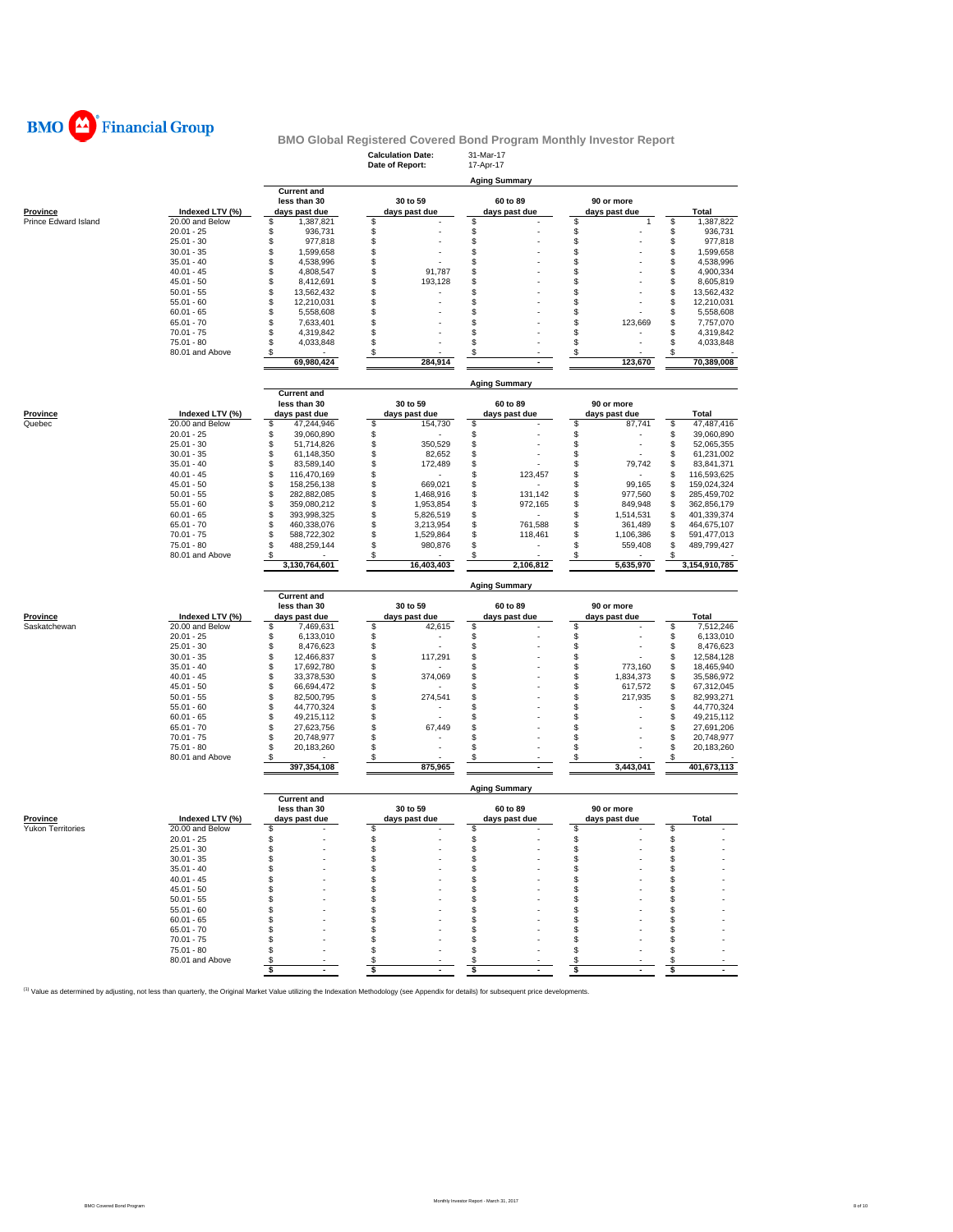

|                                      |                 |                                    | Date of Report:                     | 17-Apr-17            |                   |                                                                                                                                                                                   |
|--------------------------------------|-----------------|------------------------------------|-------------------------------------|----------------------|-------------------|-----------------------------------------------------------------------------------------------------------------------------------------------------------------------------------|
|                                      |                 |                                    |                                     |                      |                   |                                                                                                                                                                                   |
|                                      |                 | <b>Current and</b>                 |                                     | <b>Aging Summary</b> |                   |                                                                                                                                                                                   |
|                                      |                 | less than 30                       | 30 to 59                            | 60 to 89             | 90 or more        |                                                                                                                                                                                   |
| <b>Province</b>                      | Indexed LTV (%) | days past due                      | days past due                       | days past due        | days past due     | Total                                                                                                                                                                             |
| Prince Edward Island                 | 20.00 and Below | 1,387,821<br>S                     | \$                                  | \$                   | \$<br>1           | \$<br>1,387,822                                                                                                                                                                   |
|                                      | $20.01 - 25$    | \$<br>936,731                      | \$                                  | \$                   | \$                | \$<br>936,731                                                                                                                                                                     |
|                                      | $25.01 - 30$    | \$<br>977,818                      | \$                                  | \$                   | \$                | \$<br>977,818                                                                                                                                                                     |
|                                      | $30.01 - 35$    | \$<br>1,599,658                    | \$                                  | \$                   | \$                | \$<br>1.599.658                                                                                                                                                                   |
|                                      | $35.01 - 40$    | \$<br>4,538,996                    | \$                                  | \$                   | \$                | \$<br>4,538,996                                                                                                                                                                   |
|                                      | $40.01 - 45$    | 4,808,547<br>\$                    | \$<br>91,787                        | \$                   | \$                | \$<br>4,900,334                                                                                                                                                                   |
|                                      | $45.01 - 50$    | S<br>8,412,691                     | \$<br>193,128                       | \$                   | \$                | \$<br>8,605,819                                                                                                                                                                   |
|                                      | $50.01 - 55$    | \$<br>13,562,432                   | \$                                  | \$                   | \$                | \$<br>13,562,432                                                                                                                                                                  |
|                                      | $55.01 - 60$    | \$<br>12,210,031                   | \$                                  | \$                   | \$                | \$<br>12,210,031                                                                                                                                                                  |
|                                      |                 | \$                                 | \$                                  |                      |                   |                                                                                                                                                                                   |
|                                      | $60.01 - 65$    | 5,558,608                          |                                     | \$                   | \$                | \$<br>5,558,608                                                                                                                                                                   |
|                                      | $65.01 - 70$    | \$<br>7,633,401                    | \$                                  | \$                   | \$<br>123,669     | \$<br>7,757,070                                                                                                                                                                   |
|                                      | $70.01 - 75$    | S<br>4,319,842                     | \$                                  | \$                   | \$                | \$<br>4,319,842                                                                                                                                                                   |
|                                      | $75.01 - 80$    | S<br>4,033,848                     | \$                                  | \$                   | \$<br>ä,          | \$<br>4,033,848                                                                                                                                                                   |
|                                      | 80.01 and Above | \$                                 | \$                                  | \$                   | \$                | \$                                                                                                                                                                                |
|                                      |                 | 69,980,424                         | 284,914                             | $\blacksquare$       | 123,670           | 70,389,008                                                                                                                                                                        |
|                                      |                 |                                    |                                     | <b>Aging Summary</b> |                   |                                                                                                                                                                                   |
|                                      |                 | <b>Current and</b>                 |                                     |                      |                   |                                                                                                                                                                                   |
|                                      |                 | less than 30                       | 30 to 59                            | 60 to 89             | 90 or more        |                                                                                                                                                                                   |
| Province                             | Indexed LTV (%) | days past due                      | days past due                       | days past due        | days past due     | Total                                                                                                                                                                             |
| Quebec                               | 20.00 and Below | \$<br>47,244,946                   | \$<br>154,730                       | \$                   | \$<br>87,741      | \$<br>47,487,416                                                                                                                                                                  |
|                                      | $20.01 - 25$    | \$<br>39,060,890                   | \$                                  | \$                   | \$                | \$<br>39,060,890                                                                                                                                                                  |
|                                      | $25.01 - 30$    | \$<br>51,714,826                   | \$<br>350,529                       | \$                   | \$                | \$<br>52,065,355                                                                                                                                                                  |
|                                      | $30.01 - 35$    | \$<br>61,148,350                   | \$<br>82,652                        | \$                   | \$                | \$<br>61,231,002                                                                                                                                                                  |
|                                      | $35.01 - 40$    | \$<br>83,589,140                   | \$<br>172,489                       | \$                   | S<br>79,742       | \$<br>83,841,371                                                                                                                                                                  |
|                                      | $40.01 - 45$    |                                    |                                     |                      |                   |                                                                                                                                                                                   |
|                                      |                 | \$<br>116,470,169                  | \$                                  | \$<br>123,457        | \$                | \$<br>116,593,625                                                                                                                                                                 |
|                                      | $45.01 - 50$    | \$<br>158,256,138                  | \$<br>669,021                       | \$                   | \$<br>99,165      | \$<br>159,024,324                                                                                                                                                                 |
|                                      | $50.01 - 55$    | \$<br>282,882,085                  | \$<br>1,468,916                     | \$<br>131,142        | \$<br>977,560     | \$<br>285,459,702                                                                                                                                                                 |
|                                      | $55.01 - 60$    | \$<br>359,080,212                  | \$<br>1,953,854                     | \$<br>972,165        | \$<br>849,948     | \$<br>362,856,179                                                                                                                                                                 |
|                                      | $60.01 - 65$    | \$<br>393,998,325                  | \$<br>5,826,519                     | \$                   | \$<br>1,514,531   | \$<br>401,339,374                                                                                                                                                                 |
|                                      | $65.01 - 70$    | \$<br>460,338,076                  | \$<br>3.213.954                     | \$<br>761,588        | \$<br>361,489     | \$<br>464,675,107                                                                                                                                                                 |
|                                      |                 |                                    |                                     | \$                   | \$<br>1,106,386   | \$<br>591,477,013                                                                                                                                                                 |
|                                      | $70.01 - 75$    |                                    |                                     |                      |                   |                                                                                                                                                                                   |
|                                      |                 | \$<br>588,722,302                  | \$<br>1,529,864                     | 118,461<br>٠         |                   |                                                                                                                                                                                   |
|                                      | $75.01 - 80$    | \$<br>488,259,144                  | \$<br>980,876                       | \$                   | \$<br>559,408     | \$                                                                                                                                                                                |
|                                      | 80.01 and Above | \$<br>3,130,764,601                | \$<br>16,403,403                    | \$<br>2,106,812      | \$<br>5,635,970   | \$                                                                                                                                                                                |
|                                      |                 |                                    |                                     |                      |                   | 489,799,427<br>3,154,910,785                                                                                                                                                      |
|                                      |                 | <b>Current and</b>                 |                                     | <b>Aging Summary</b> |                   |                                                                                                                                                                                   |
|                                      |                 | less than 30                       | 30 to 59                            | 60 to 89             | 90 or more        |                                                                                                                                                                                   |
|                                      | Indexed LTV (%) | days past due                      | days past due                       | days past due        | days past due     | <b>Total</b>                                                                                                                                                                      |
|                                      | 20.00 and Below | \$<br>7,469,631                    | \$<br>42,615                        | \$                   | \$                | \$<br>7,512,246                                                                                                                                                                   |
|                                      | $20.01 - 25$    | S<br>6,133,010                     | \$<br>٠                             | \$                   | \$                | \$                                                                                                                                                                                |
|                                      | $25.01 - 30$    | 8,476,623<br>\$                    | \$                                  | \$                   | \$                | \$                                                                                                                                                                                |
|                                      | $30.01 - 35$    | \$<br>12,466,837                   | \$                                  | \$                   | \$                | \$                                                                                                                                                                                |
|                                      |                 | \$                                 | 117,291                             |                      |                   |                                                                                                                                                                                   |
|                                      | $35.01 - 40$    | 17,692,780<br>\$                   | \$                                  | \$                   | \$<br>773,160     | \$                                                                                                                                                                                |
|                                      | $40.01 - 45$    | 33,378,530                         | \$<br>374,069                       | \$                   | \$<br>1,834,373   | \$                                                                                                                                                                                |
|                                      | $45.01 - 50$    | \$<br>66,694,472                   | \$                                  | \$                   | 617,572<br>\$     | \$                                                                                                                                                                                |
|                                      | $50.01 - 55$    | \$<br>82,500,795                   | \$<br>274,541                       | \$                   | 217,935<br>\$     | \$                                                                                                                                                                                |
|                                      | $55.01 - 60$    | \$<br>44,770,324                   | \$                                  | \$                   | \$                | \$                                                                                                                                                                                |
|                                      | $60.01 - 65$    | \$<br>49,215,112                   | \$<br>$\overline{a}$                | \$                   | \$                | \$                                                                                                                                                                                |
|                                      | $65.01 - 70$    | \$<br>27,623,756                   | \$<br>67,449                        | \$                   | \$                | \$                                                                                                                                                                                |
|                                      | $70.01 - 75$    | \$<br>20,748,977                   | \$                                  | \$                   | \$                | \$                                                                                                                                                                                |
|                                      | $75.01 - 80$    | \$<br>20,183,260                   | \$                                  | \$                   | \$                | \$                                                                                                                                                                                |
|                                      | 80.01 and Above | S<br>397,354,108                   | \$<br>875,965                       | S                    | \$<br>3,443,041   | \$                                                                                                                                                                                |
|                                      |                 |                                    |                                     |                      |                   | 6,133,010<br>8,476,623<br>12,584,128<br>18,465,940<br>35,586,972<br>67,312,045<br>82,993,271<br>44,770,324<br>49,215,112<br>27,691,206<br>20,748,977<br>20,183,260<br>401,673,113 |
| <b>Province</b><br>Saskatchewan      |                 |                                    |                                     | <b>Aging Summary</b> |                   |                                                                                                                                                                                   |
|                                      |                 | <b>Current and</b><br>less than 30 | 30 to 59                            | 60 to 89             | 90 or more        |                                                                                                                                                                                   |
|                                      | Indexed LTV (%) | days past due                      | days past due                       | days past due        | days past due     | Total                                                                                                                                                                             |
|                                      | 20.00 and Below | \$                                 | \$                                  | \$                   | \$                | \$                                                                                                                                                                                |
|                                      | $20.01 - 25$    | \$                                 | \$                                  | \$                   | \$                | \$                                                                                                                                                                                |
|                                      |                 |                                    |                                     |                      |                   |                                                                                                                                                                                   |
|                                      | $25.01 - 30$    | P                                  | s,                                  | ৬                    |                   | \$                                                                                                                                                                                |
|                                      | $30.01 - 35$    | \$                                 | \$                                  | S                    | \$                | \$                                                                                                                                                                                |
|                                      | $35.01 - 40$    | S                                  | \$                                  | \$                   | S                 | \$                                                                                                                                                                                |
|                                      | $40.01 - 45$    | S                                  | \$                                  | \$                   | \$                | \$                                                                                                                                                                                |
|                                      | $45.01 - 50$    | S                                  | \$                                  | \$                   | \$                | \$                                                                                                                                                                                |
|                                      | $50.01 - 55$    | \$                                 | \$                                  | \$                   | \$                | \$                                                                                                                                                                                |
|                                      | $55.01 - 60$    | S                                  | \$                                  | \$                   | \$                | \$                                                                                                                                                                                |
|                                      |                 | S                                  |                                     |                      | \$                |                                                                                                                                                                                   |
|                                      | $60.01 - 65$    |                                    | \$                                  | \$                   |                   | \$                                                                                                                                                                                |
|                                      | $65.01 - 70$    | S                                  | \$                                  | \$                   | S                 | \$                                                                                                                                                                                |
|                                      | $70.01 - 75$    | S                                  | \$                                  | S                    | \$                | \$                                                                                                                                                                                |
| Province<br><b>Yukon Territories</b> | $75.01 - 80$    | S                                  | S                                   | \$                   | \$                | \$                                                                                                                                                                                |
|                                      | 80.01 and Above | S<br>\$<br>$\sim$                  | S<br>\$<br>$\overline{\phantom{a}}$ | S<br>\$<br>÷.        | S<br>\$<br>$\sim$ | \$<br>\$<br>$\mathbf{r}$                                                                                                                                                          |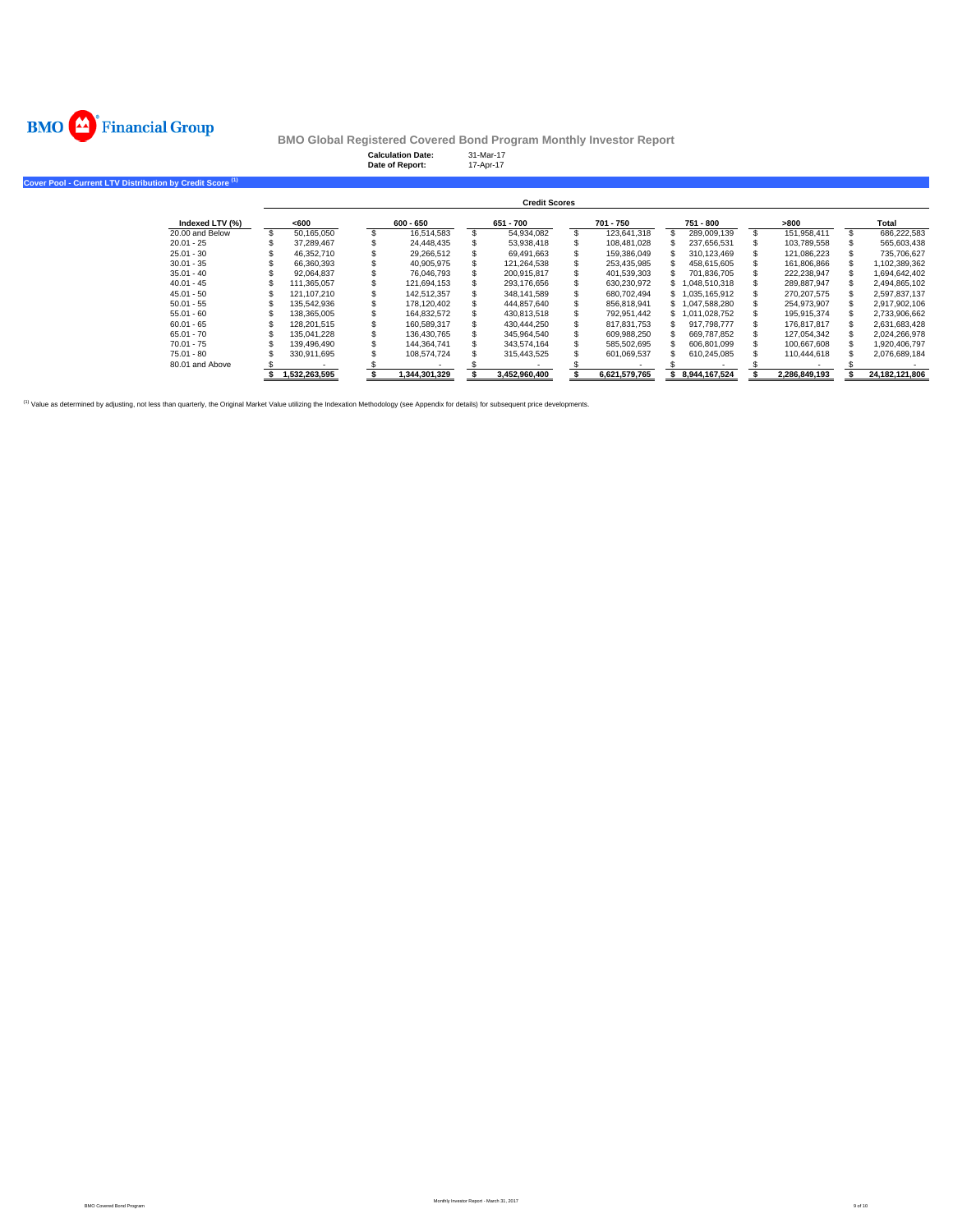

**Cover Pool -**

**BMO Global Registered Covered Bond Program Monthly Investor Report**

|                                                     |               | <b>Calculation Date:</b><br>Date of Report: | 17-Apr-17 | 31-Mar-17            |               |                  |               |                |
|-----------------------------------------------------|---------------|---------------------------------------------|-----------|----------------------|---------------|------------------|---------------|----------------|
| <b>Current LTV Distribution by Credit Score (1)</b> |               |                                             |           |                      |               |                  |               |                |
|                                                     |               |                                             |           | <b>Credit Scores</b> |               |                  |               |                |
| Indexed LTV (%)                                     | <600          | $600 - 650$                                 |           | 651 - 700            | 701 - 750     | 751 - 800        | >800          | Total          |
| 20.00 and Below                                     | 50,165,050    | 16,514,583                                  |           | 54,934,082           | 123,641,318   | 289,009,139      | 151,958,411   | 686,222,583    |
| $20.01 - 25$                                        | 37,289,467    | 24,448,435                                  |           | 53,938,418           | 108,481,028   | 237,656,531      | 103,789,558   | 565,603,438    |
| $25.01 - 30$                                        | 46,352,710    | 29,266,512                                  |           | 69,491,663           | 159,386,049   | 310,123,469      | 121,086,223   | 735,706,627    |
| $30.01 - 35$                                        | 66,360,393    | 40,905,975                                  |           | 121,264,538          | 253,435,985   | 458,615,605      | 161,806,866   | 1,102,389,362  |
| $35.01 - 40$                                        | 92,064,837    | 76,046,793                                  |           | 200,915,817          | 401,539,303   | 701,836,705      | 222,238,947   | 1,694,642,402  |
| $40.01 - 45$                                        | 111,365,057   | 121,694,153                                 |           | 293,176,656          | 630,230,972   | \$1,048,510,318  | 289,887,947   | 2,494,865,102  |
| $45.01 - 50$                                        | 121,107,210   | 142,512,357                                 |           | 348,141,589          | 680,702,494   | \$1,035,165,912  | 270,207,575   | 2,597,837,137  |
| $50.01 - 55$                                        | 135,542,936   | 178,120,402                                 |           | 444,857,640          | 856,818,941   | \$1,047,588,280  | 254,973,907   | 2,917,902,106  |
| $55.01 - 60$                                        | 138,365,005   | 164,832,572                                 |           | 430,813,518          | 792,951,442   | \$1,011,028,752  | 195,915,374   | 2,733,906,662  |
| $60.01 - 65$                                        | 128,201,515   | 160,589,317                                 |           | 430,444,250          | 817,831,753   | 917,798,777      | 176,817,817   | 2,631,683,428  |
| $65.01 - 70$                                        | 135.041.228   | 136,430,765                                 |           | 345,964,540          | 609,988,250   | 669,787,852      | 127,054,342   | 2,024,266,978  |
| $70.01 - 75$                                        | 139,496,490   | 144,364,741                                 |           | 343,574,164          | 585,502,695   | 606,801,099      | 100,667,608   | 1,920,406,797  |
| $75.01 - 80$                                        | 330,911,695   | 108,574,724                                 |           | 315,443,525          | 601,069,537   | 610,245,085      | 110,444,618   | 2,076,689,184  |
| 80.01 and Above                                     |               |                                             |           |                      |               |                  |               |                |
|                                                     | 1,532,263,595 | 1,344,301,329                               |           | 3,452,960,400        | 6.621.579.765 | \$ 8,944,167,524 | 2,286,849,193 | 24,182,121,806 |

(1) Value as determined by adjusting, not less than quarterly, the Original Market Value utilizing the Indexation Methodology (see Appendix for details) for subsequent price developments.